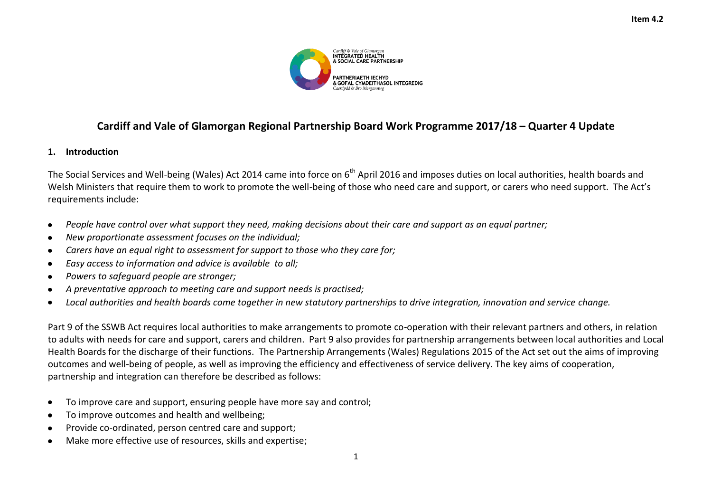

## **Cardiff and Vale of Glamorgan Regional Partnership Board Work Programme 2017/18 – Quarter 4 Update**

## **1. Introduction**

The Social Services and Well-being (Wales) Act 2014 came into force on 6<sup>th</sup> April 2016 and imposes duties on local authorities, health boards and Welsh Ministers that require them to work to promote the well-being of those who need care and support, or carers who need support. The Act's requirements include:

- *People have control over what support they need, making decisions about their care and support as an equal partner;*
- *New proportionate assessment focuses on the individual;*
- *Carers have an equal right to assessment for support to those who they care for;*
- *Easy access to information and advice is available to all;*
- *Powers to safeguard people are stronger;*
- *A preventative approach to meeting care and support needs is practised;*
- *Local authorities and health boards come together in new statutory partnerships to drive integration, innovation and service change.*

Part 9 of the SSWB Act requires local authorities to make arrangements to promote co-operation with their relevant partners and others, in relation to adults with needs for care and support, carers and children. Part 9 also provides for partnership arrangements between local authorities and Local Health Boards for the discharge of their functions. The Partnership Arrangements (Wales) Regulations 2015 of the Act set out the aims of improving outcomes and well-being of people, as well as improving the efficiency and effectiveness of service delivery. The key aims of cooperation, partnership and integration can therefore be described as follows:

- To improve care and support, ensuring people have more say and control;  $\bullet$
- To improve outcomes and health and wellbeing;  $\bullet$
- Provide co-ordinated, person centred care and support;
- Make more effective use of resources, skills and expertise;  $\bullet$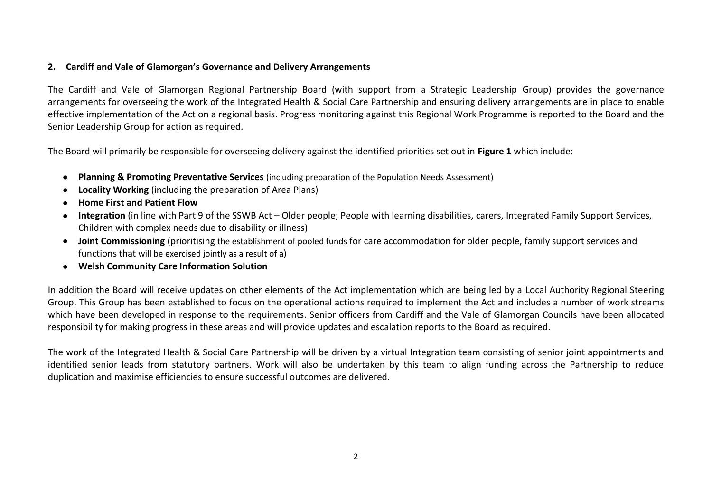## **2. Cardiff and Vale of Glamorgan's Governance and Delivery Arrangements**

The Cardiff and Vale of Glamorgan Regional Partnership Board (with support from a Strategic Leadership Group) provides the governance arrangements for overseeing the work of the Integrated Health & Social Care Partnership and ensuring delivery arrangements are in place to enable effective implementation of the Act on a regional basis. Progress monitoring against this Regional Work Programme is reported to the Board and the Senior Leadership Group for action as required.

The Board will primarily be responsible for overseeing delivery against the identified priorities set out in **Figure 1** which include:

- **Planning & Promoting Preventative Services** (including preparation of the Population Needs Assessment)
- **Locality Working** (including the preparation of Area Plans)
- **Home First and Patient Flow**
- **Integration** (in line with Part 9 of the SSWB Act Older people; People with learning disabilities, carers, Integrated Family Support Services, Children with complex needs due to disability or illness)
- **Joint Commissioning** (prioritising the establishment of pooled funds for care accommodation for older people, family support services and functions that will be exercised jointly as a result of a)
- **Welsh Community Care Information Solution**

In addition the Board will receive updates on other elements of the Act implementation which are being led by a Local Authority Regional Steering Group. This Group has been established to focus on the operational actions required to implement the Act and includes a number of work streams which have been developed in response to the requirements. Senior officers from Cardiff and the Vale of Glamorgan Councils have been allocated responsibility for making progress in these areas and will provide updates and escalation reports to the Board as required.

The work of the Integrated Health & Social Care Partnership will be driven by a virtual Integration team consisting of senior joint appointments and identified senior leads from statutory partners. Work will also be undertaken by this team to align funding across the Partnership to reduce duplication and maximise efficiencies to ensure successful outcomes are delivered.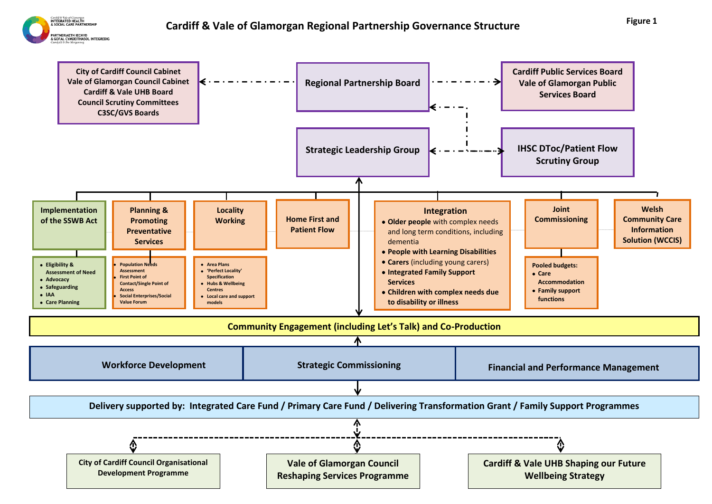

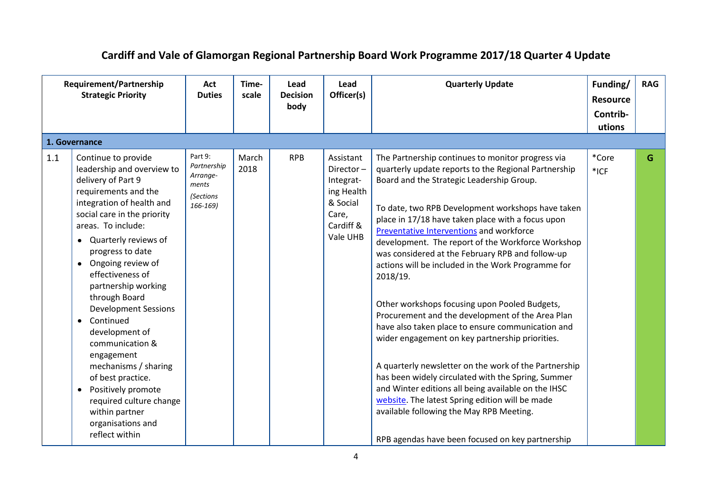## **Cardiff and Vale of Glamorgan Regional Partnership Board Work Programme 2017/18 Quarter 4 Update**

|     | Requirement/Partnership<br><b>Strategic Priority</b><br>1. Governance                                                                                                                                                                                                                                                                                                                                                                                                                                                                                                                                       |                                                                      | Time-<br>scale | Lead<br><b>Decision</b><br>body | Lead<br>Officer(s)                                                                              | <b>Quarterly Update</b>                                                                                                                                                                                                                                                                                                                                                                                                                                                                                                                                                                                                                                                                                                                                                                                                                                                                                                                                                                                                       | Funding/<br><b>Resource</b><br>Contrib-<br>utions | <b>RAG</b> |
|-----|-------------------------------------------------------------------------------------------------------------------------------------------------------------------------------------------------------------------------------------------------------------------------------------------------------------------------------------------------------------------------------------------------------------------------------------------------------------------------------------------------------------------------------------------------------------------------------------------------------------|----------------------------------------------------------------------|----------------|---------------------------------|-------------------------------------------------------------------------------------------------|-------------------------------------------------------------------------------------------------------------------------------------------------------------------------------------------------------------------------------------------------------------------------------------------------------------------------------------------------------------------------------------------------------------------------------------------------------------------------------------------------------------------------------------------------------------------------------------------------------------------------------------------------------------------------------------------------------------------------------------------------------------------------------------------------------------------------------------------------------------------------------------------------------------------------------------------------------------------------------------------------------------------------------|---------------------------------------------------|------------|
|     |                                                                                                                                                                                                                                                                                                                                                                                                                                                                                                                                                                                                             |                                                                      |                |                                 |                                                                                                 |                                                                                                                                                                                                                                                                                                                                                                                                                                                                                                                                                                                                                                                                                                                                                                                                                                                                                                                                                                                                                               |                                                   |            |
| 1.1 | Continue to provide<br>leadership and overview to<br>delivery of Part 9<br>requirements and the<br>integration of health and<br>social care in the priority<br>areas. To include:<br>Quarterly reviews of<br>progress to date<br>Ongoing review of<br>$\bullet$<br>effectiveness of<br>partnership working<br>through Board<br><b>Development Sessions</b><br>Continued<br>$\bullet$<br>development of<br>communication &<br>engagement<br>mechanisms / sharing<br>of best practice.<br>Positively promote<br>$\bullet$<br>required culture change<br>within partner<br>organisations and<br>reflect within | Part 9:<br>Partnership<br>Arrange-<br>ments<br>(Sections<br>166-169) | March<br>2018  | <b>RPB</b>                      | Assistant<br>Director-<br>Integrat-<br>ing Health<br>& Social<br>Care,<br>Cardiff &<br>Vale UHB | The Partnership continues to monitor progress via<br>quarterly update reports to the Regional Partnership<br>Board and the Strategic Leadership Group.<br>To date, two RPB Development workshops have taken<br>place in 17/18 have taken place with a focus upon<br>Preventative Interventions and workforce<br>development. The report of the Workforce Workshop<br>was considered at the February RPB and follow-up<br>actions will be included in the Work Programme for<br>2018/19.<br>Other workshops focusing upon Pooled Budgets,<br>Procurement and the development of the Area Plan<br>have also taken place to ensure communication and<br>wider engagement on key partnership priorities.<br>A quarterly newsletter on the work of the Partnership<br>has been widely circulated with the Spring, Summer<br>and Winter editions all being available on the IHSC<br>website. The latest Spring edition will be made<br>available following the May RPB Meeting.<br>RPB agendas have been focused on key partnership | *Core<br>$*$ ICF                                  | G          |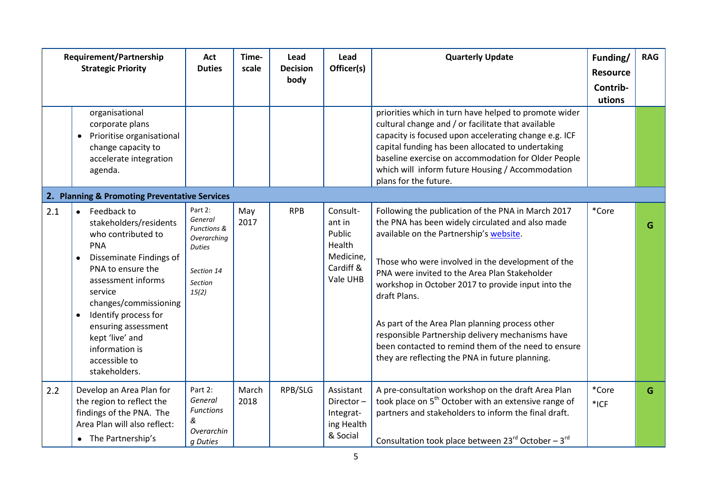|     | Requirement/Partnership<br><b>Strategic Priority</b>                                                                                                                                                                                                                                                                                | Act<br><b>Duties</b>                                                                                       | Time-<br>scale | Lead<br><b>Decision</b><br>body | Lead<br>Officer(s)                                                           | <b>Quarterly Update</b>                                                                                                                                                                                                                                                                                                                                                                                                                                                                                                                        | Funding/<br><b>Resource</b><br>Contrib-<br>utions | <b>RAG</b> |
|-----|-------------------------------------------------------------------------------------------------------------------------------------------------------------------------------------------------------------------------------------------------------------------------------------------------------------------------------------|------------------------------------------------------------------------------------------------------------|----------------|---------------------------------|------------------------------------------------------------------------------|------------------------------------------------------------------------------------------------------------------------------------------------------------------------------------------------------------------------------------------------------------------------------------------------------------------------------------------------------------------------------------------------------------------------------------------------------------------------------------------------------------------------------------------------|---------------------------------------------------|------------|
|     | organisational<br>corporate plans<br>Prioritise organisational<br>$\bullet$<br>change capacity to<br>accelerate integration<br>agenda.                                                                                                                                                                                              |                                                                                                            |                |                                 |                                                                              | priorities which in turn have helped to promote wider<br>cultural change and / or facilitate that available<br>capacity is focused upon accelerating change e.g. ICF<br>capital funding has been allocated to undertaking<br>baseline exercise on accommodation for Older People<br>which will inform future Housing / Accommodation<br>plans for the future.                                                                                                                                                                                  |                                                   |            |
|     | 2. Planning & Promoting Preventative Services                                                                                                                                                                                                                                                                                       |                                                                                                            |                |                                 |                                                                              |                                                                                                                                                                                                                                                                                                                                                                                                                                                                                                                                                |                                                   |            |
| 2.1 | Feedback to<br>$\bullet$<br>stakeholders/residents<br>who contributed to<br><b>PNA</b><br>Disseminate Findings of<br>$\bullet$<br>PNA to ensure the<br>assessment informs<br>service<br>changes/commissioning<br>Identify process for<br>ensuring assessment<br>kept 'live' and<br>information is<br>accessible to<br>stakeholders. | Part 2:<br>General<br>Functions &<br>Overarching<br><b>Duties</b><br>Section 14<br><b>Section</b><br>15(2) | May<br>2017    | <b>RPB</b>                      | Consult-<br>ant in<br>Public<br>Health<br>Medicine,<br>Cardiff &<br>Vale UHB | Following the publication of the PNA in March 2017<br>the PNA has been widely circulated and also made<br>available on the Partnership's website.<br>Those who were involved in the development of the<br>PNA were invited to the Area Plan Stakeholder<br>workshop in October 2017 to provide input into the<br>draft Plans.<br>As part of the Area Plan planning process other<br>responsible Partnership delivery mechanisms have<br>been contacted to remind them of the need to ensure<br>they are reflecting the PNA in future planning. | *Core                                             | G          |
| 2.2 | Develop an Area Plan for<br>the region to reflect the<br>findings of the PNA. The<br>Area Plan will also reflect:<br>• The Partnership's                                                                                                                                                                                            | Part 2:<br>General<br><b>Functions</b><br>&<br>Overarchin<br>g Duties                                      | March<br>2018  | RPB/SLG                         | Assistant<br>Director-<br>Integrat-<br>ing Health<br>& Social                | A pre-consultation workshop on the draft Area Plan<br>took place on 5 <sup>th</sup> October with an extensive range of<br>partners and stakeholders to inform the final draft.<br>Consultation took place between $23^{rd}$ October – $3^{rd}$                                                                                                                                                                                                                                                                                                 | *Core<br>$*$ ICF                                  | G          |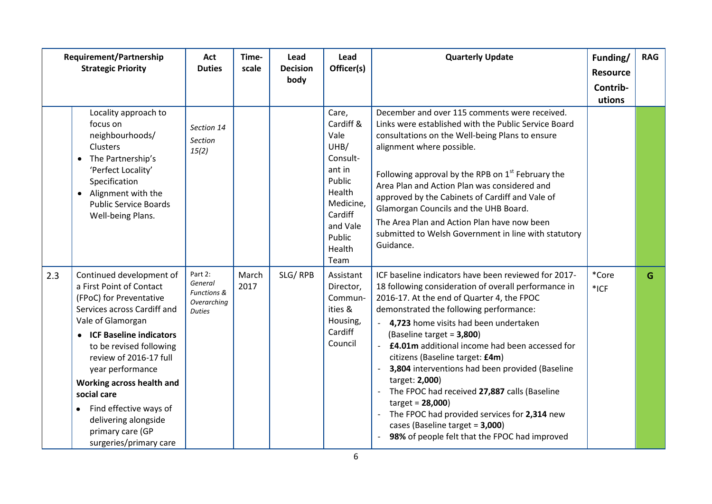|     | Requirement/Partnership<br><b>Strategic Priority</b>                                                                                                                                                                                                                                                                                                                                               |                                                                              | Time-<br>scale | Lead<br><b>Decision</b><br>body | Lead<br>Officer(s)                                                                                                                           | <b>Quarterly Update</b>                                                                                                                                                                                                                                                                                                                                                                                                                                                                                                                                                                                                                                  | Funding/<br><b>Resource</b><br>Contrib-<br>utions | <b>RAG</b> |
|-----|----------------------------------------------------------------------------------------------------------------------------------------------------------------------------------------------------------------------------------------------------------------------------------------------------------------------------------------------------------------------------------------------------|------------------------------------------------------------------------------|----------------|---------------------------------|----------------------------------------------------------------------------------------------------------------------------------------------|----------------------------------------------------------------------------------------------------------------------------------------------------------------------------------------------------------------------------------------------------------------------------------------------------------------------------------------------------------------------------------------------------------------------------------------------------------------------------------------------------------------------------------------------------------------------------------------------------------------------------------------------------------|---------------------------------------------------|------------|
|     | Locality approach to<br>focus on<br>neighbourhoods/<br>Clusters<br>The Partnership's<br>'Perfect Locality'<br>Specification<br>Alignment with the<br><b>Public Service Boards</b><br>Well-being Plans.                                                                                                                                                                                             | Section 14<br><b>Section</b><br>15(2)                                        |                |                                 | Care,<br>Cardiff &<br>Vale<br>UHB/<br>Consult-<br>ant in<br>Public<br>Health<br>Medicine,<br>Cardiff<br>and Vale<br>Public<br>Health<br>Team | December and over 115 comments were received.<br>Links were established with the Public Service Board<br>consultations on the Well-being Plans to ensure<br>alignment where possible.<br>Following approval by the RPB on $1st$ February the<br>Area Plan and Action Plan was considered and<br>approved by the Cabinets of Cardiff and Vale of<br>Glamorgan Councils and the UHB Board.<br>The Area Plan and Action Plan have now been<br>submitted to Welsh Government in line with statutory<br>Guidance.                                                                                                                                             |                                                   |            |
| 2.3 | Continued development of<br>a First Point of Contact<br>(FPoC) for Preventative<br>Services across Cardiff and<br>Vale of Glamorgan<br>• ICF Baseline indicators<br>to be revised following<br>review of 2016-17 full<br>year performance<br>Working across health and<br>social care<br>Find effective ways of<br>$\bullet$<br>delivering alongside<br>primary care (GP<br>surgeries/primary care | Part 2:<br>General<br><b>Functions &amp;</b><br>Overarching<br><b>Duties</b> | March<br>2017  | SLG/RPB                         | Assistant<br>Director,<br>Commun-<br>ities &<br>Housing,<br>Cardiff<br>Council                                                               | ICF baseline indicators have been reviewed for 2017-<br>18 following consideration of overall performance in<br>2016-17. At the end of Quarter 4, the FPOC<br>demonstrated the following performance:<br>4,723 home visits had been undertaken<br>(Baseline target = 3,800)<br>£4.01m additional income had been accessed for<br>$\sim$<br>citizens (Baseline target: £4m)<br>3,804 interventions had been provided (Baseline<br>target: 2,000)<br>The FPOC had received 27,887 calls (Baseline<br>$target = 28,000$<br>The FPOC had provided services for 2,314 new<br>cases (Baseline target = 3,000)<br>98% of people felt that the FPOC had improved | *Core<br>$*$ ICF                                  | G          |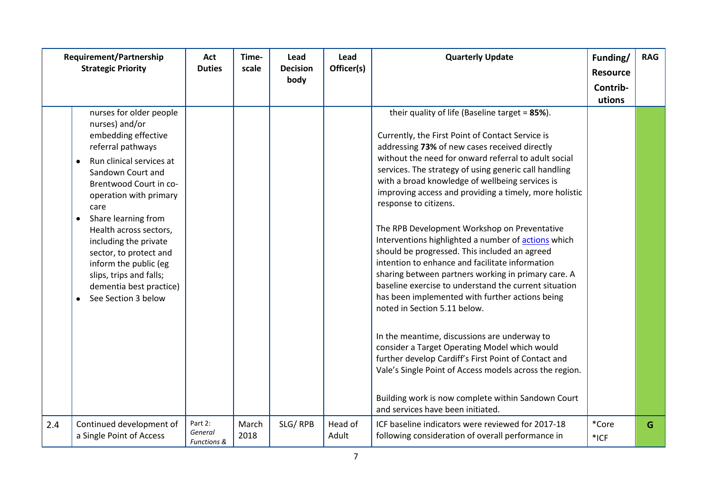|     | Requirement/Partnership<br><b>Strategic Priority</b>                                                                                                                                                                                                                                                                                                                                                                      | Act<br><b>Duties</b>                         | Time-<br>scale | Lead<br><b>Decision</b><br>body | Lead<br>Officer(s) | <b>Quarterly Update</b>                                                                                                                                                                                                                                                                                                                                                                                                                                                                                                                                                                                                                                                                                                                                                                                                                                                                                                                                                                                                                                                                                                                 | Funding/<br><b>Resource</b><br>Contrib- | <b>RAG</b> |
|-----|---------------------------------------------------------------------------------------------------------------------------------------------------------------------------------------------------------------------------------------------------------------------------------------------------------------------------------------------------------------------------------------------------------------------------|----------------------------------------------|----------------|---------------------------------|--------------------|-----------------------------------------------------------------------------------------------------------------------------------------------------------------------------------------------------------------------------------------------------------------------------------------------------------------------------------------------------------------------------------------------------------------------------------------------------------------------------------------------------------------------------------------------------------------------------------------------------------------------------------------------------------------------------------------------------------------------------------------------------------------------------------------------------------------------------------------------------------------------------------------------------------------------------------------------------------------------------------------------------------------------------------------------------------------------------------------------------------------------------------------|-----------------------------------------|------------|
|     | nurses for older people<br>nurses) and/or<br>embedding effective<br>referral pathways<br>Run clinical services at<br>$\bullet$<br>Sandown Court and<br>Brentwood Court in co-<br>operation with primary<br>care<br>Share learning from<br>Health across sectors,<br>including the private<br>sector, to protect and<br>inform the public (eg<br>slips, trips and falls;<br>dementia best practice)<br>See Section 3 below |                                              |                |                                 |                    | their quality of life (Baseline target = 85%).<br>Currently, the First Point of Contact Service is<br>addressing 73% of new cases received directly<br>without the need for onward referral to adult social<br>services. The strategy of using generic call handling<br>with a broad knowledge of wellbeing services is<br>improving access and providing a timely, more holistic<br>response to citizens.<br>The RPB Development Workshop on Preventative<br>Interventions highlighted a number of actions which<br>should be progressed. This included an agreed<br>intention to enhance and facilitate information<br>sharing between partners working in primary care. A<br>baseline exercise to understand the current situation<br>has been implemented with further actions being<br>noted in Section 5.11 below.<br>In the meantime, discussions are underway to<br>consider a Target Operating Model which would<br>further develop Cardiff's First Point of Contact and<br>Vale's Single Point of Access models across the region.<br>Building work is now complete within Sandown Court<br>and services have been initiated. | utions                                  |            |
| 2.4 | Continued development of<br>a Single Point of Access                                                                                                                                                                                                                                                                                                                                                                      | Part 2:<br>General<br><b>Functions &amp;</b> | March<br>2018  | SLG/RPB                         | Head of<br>Adult   | ICF baseline indicators were reviewed for 2017-18<br>following consideration of overall performance in                                                                                                                                                                                                                                                                                                                                                                                                                                                                                                                                                                                                                                                                                                                                                                                                                                                                                                                                                                                                                                  | *Core<br>$*$ ICF                        | G.         |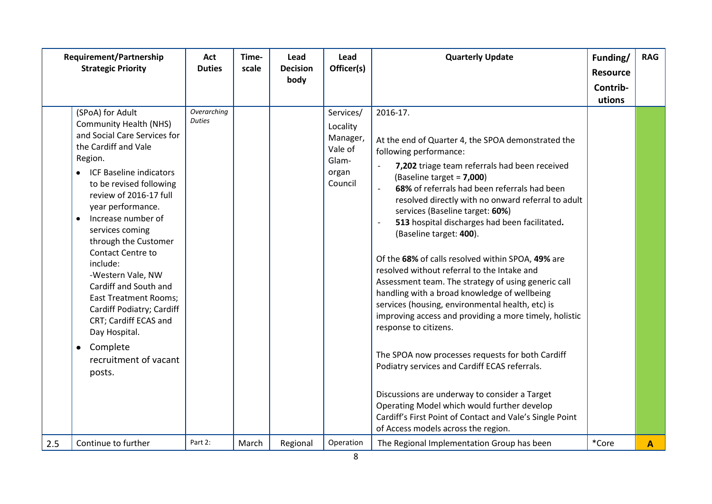|     | <b>Requirement/Partnership</b><br><b>Strategic Priority</b>                                                                                                                                                                                                                                                                                                                                                                                                                                                                                                        | Act<br><b>Duties</b>         | Time-<br>scale | Lead<br><b>Decision</b><br>body | Lead<br>Officer(s)                                                        | <b>Quarterly Update</b>                                                                                                                                                                                                                                                                                                                                                                                                                                                                                                                                                                                                                                                                                                                                                                                                                                                                                                                                                                                                                                                                             | Funding/<br><b>Resource</b><br>Contrib-<br>utions | <b>RAG</b>   |
|-----|--------------------------------------------------------------------------------------------------------------------------------------------------------------------------------------------------------------------------------------------------------------------------------------------------------------------------------------------------------------------------------------------------------------------------------------------------------------------------------------------------------------------------------------------------------------------|------------------------------|----------------|---------------------------------|---------------------------------------------------------------------------|-----------------------------------------------------------------------------------------------------------------------------------------------------------------------------------------------------------------------------------------------------------------------------------------------------------------------------------------------------------------------------------------------------------------------------------------------------------------------------------------------------------------------------------------------------------------------------------------------------------------------------------------------------------------------------------------------------------------------------------------------------------------------------------------------------------------------------------------------------------------------------------------------------------------------------------------------------------------------------------------------------------------------------------------------------------------------------------------------------|---------------------------------------------------|--------------|
|     | (SPoA) for Adult<br><b>Community Health (NHS)</b><br>and Social Care Services for<br>the Cardiff and Vale<br>Region.<br>• ICF Baseline indicators<br>to be revised following<br>review of 2016-17 full<br>year performance.<br>Increase number of<br>$\bullet$<br>services coming<br>through the Customer<br><b>Contact Centre to</b><br>include:<br>-Western Vale, NW<br>Cardiff and South and<br><b>East Treatment Rooms;</b><br>Cardiff Podiatry; Cardiff<br>CRT; Cardiff ECAS and<br>Day Hospital.<br>Complete<br>$\bullet$<br>recruitment of vacant<br>posts. | Overarching<br><b>Duties</b> |                |                                 | Services/<br>Locality<br>Manager,<br>Vale of<br>Glam-<br>organ<br>Council | 2016-17.<br>At the end of Quarter 4, the SPOA demonstrated the<br>following performance:<br>7,202 triage team referrals had been received<br>(Baseline target = 7,000)<br>68% of referrals had been referrals had been<br>$\overline{\phantom{a}}$<br>resolved directly with no onward referral to adult<br>services (Baseline target: 60%)<br>513 hospital discharges had been facilitated.<br>$\blacksquare$<br>(Baseline target: 400).<br>Of the 68% of calls resolved within SPOA, 49% are<br>resolved without referral to the Intake and<br>Assessment team. The strategy of using generic call<br>handling with a broad knowledge of wellbeing<br>services (housing, environmental health, etc) is<br>improving access and providing a more timely, holistic<br>response to citizens.<br>The SPOA now processes requests for both Cardiff<br>Podiatry services and Cardiff ECAS referrals.<br>Discussions are underway to consider a Target<br>Operating Model which would further develop<br>Cardiff's First Point of Contact and Vale's Single Point<br>of Access models across the region. |                                                   |              |
| 2.5 | Continue to further                                                                                                                                                                                                                                                                                                                                                                                                                                                                                                                                                | Part 2:                      | March          | Regional                        | Operation                                                                 | The Regional Implementation Group has been                                                                                                                                                                                                                                                                                                                                                                                                                                                                                                                                                                                                                                                                                                                                                                                                                                                                                                                                                                                                                                                          | *Core                                             | $\mathbf{A}$ |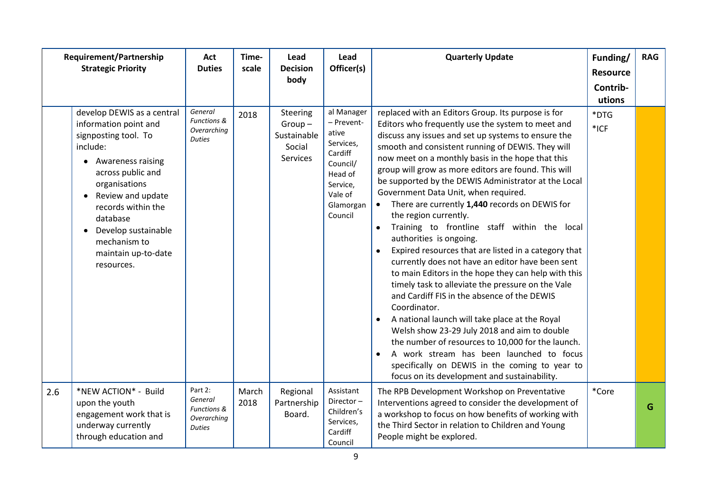|     | <b>Requirement/Partnership</b><br><b>Strategic Priority</b>                                                                                                                                                                                                                                                                         | Act<br><b>Duties</b>                                                         | Time-<br>scale | Lead<br><b>Decision</b><br>body                                  | Lead<br>Officer(s)                                                                                                              | <b>Quarterly Update</b>                                                                                                                                                                                                                                                                                                                                                                                                                                                                                                                                                                                                                                                                                                                                                                                                                                                                                                                                                                                                                                                                                                                                                                         | Funding/<br><b>Resource</b><br>Contrib-<br>utions | <b>RAG</b> |
|-----|-------------------------------------------------------------------------------------------------------------------------------------------------------------------------------------------------------------------------------------------------------------------------------------------------------------------------------------|------------------------------------------------------------------------------|----------------|------------------------------------------------------------------|---------------------------------------------------------------------------------------------------------------------------------|-------------------------------------------------------------------------------------------------------------------------------------------------------------------------------------------------------------------------------------------------------------------------------------------------------------------------------------------------------------------------------------------------------------------------------------------------------------------------------------------------------------------------------------------------------------------------------------------------------------------------------------------------------------------------------------------------------------------------------------------------------------------------------------------------------------------------------------------------------------------------------------------------------------------------------------------------------------------------------------------------------------------------------------------------------------------------------------------------------------------------------------------------------------------------------------------------|---------------------------------------------------|------------|
|     | develop DEWIS as a central<br>information point and<br>signposting tool. To<br>include:<br><b>Awareness raising</b><br>$\bullet$<br>across public and<br>organisations<br>Review and update<br>$\bullet$<br>records within the<br>database<br>Develop sustainable<br>$\bullet$<br>mechanism to<br>maintain up-to-date<br>resources. | General<br><b>Functions &amp;</b><br>Overarching<br><b>Duties</b>            | 2018           | Steering<br>$Group-$<br>Sustainable<br>Social<br><b>Services</b> | al Manager<br>- Prevent-<br>ative<br>Services,<br>Cardiff<br>Council/<br>Head of<br>Service,<br>Vale of<br>Glamorgan<br>Council | replaced with an Editors Group. Its purpose is for<br>Editors who frequently use the system to meet and<br>discuss any issues and set up systems to ensure the<br>smooth and consistent running of DEWIS. They will<br>now meet on a monthly basis in the hope that this<br>group will grow as more editors are found. This will<br>be supported by the DEWIS Administrator at the Local<br>Government Data Unit, when required.<br>There are currently 1,440 records on DEWIS for<br>the region currently.<br>Training to frontline staff within the local<br>$\bullet$<br>authorities is ongoing.<br>Expired resources that are listed in a category that<br>currently does not have an editor have been sent<br>to main Editors in the hope they can help with this<br>timely task to alleviate the pressure on the Vale<br>and Cardiff FIS in the absence of the DEWIS<br>Coordinator.<br>A national launch will take place at the Royal<br>Welsh show 23-29 July 2018 and aim to double<br>the number of resources to 10,000 for the launch.<br>A work stream has been launched to focus<br>specifically on DEWIS in the coming to year to<br>focus on its development and sustainability. | *DTG<br>*ICF                                      |            |
| 2.6 | *NEW ACTION* - Build<br>upon the youth<br>engagement work that is<br>underway currently<br>through education and                                                                                                                                                                                                                    | Part 2:<br>General<br><b>Functions &amp;</b><br>Overarching<br><b>Duties</b> | March<br>2018  | Regional<br>Partnership<br>Board.                                | Assistant<br>Director-<br>Children's<br>Services,<br>Cardiff<br>Council                                                         | The RPB Development Workshop on Preventative<br>Interventions agreed to consider the development of<br>a workshop to focus on how benefits of working with<br>the Third Sector in relation to Children and Young<br>People might be explored.                                                                                                                                                                                                                                                                                                                                                                                                                                                                                                                                                                                                                                                                                                                                                                                                                                                                                                                                                   | *Core                                             | G          |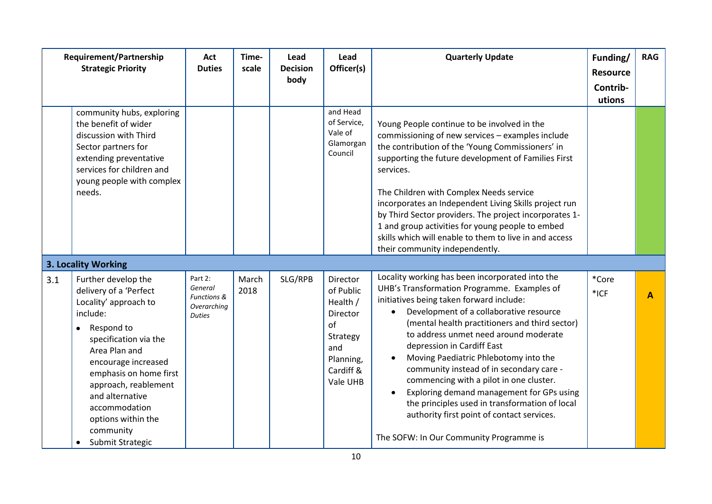|     | <b>Requirement/Partnership</b><br><b>Strategic Priority</b>                                                                                                                                                                                                                                                                              | Act<br><b>Duties</b>                                              | Time-<br>scale | Lead<br><b>Decision</b><br>body | Lead<br>Officer(s)                                                                                                  | <b>Quarterly Update</b>                                                                                                                                                                                                                                                                                                                                                                                                                                                                                                                                                                                                                             | Funding/<br><b>Resource</b><br>Contrib-<br>utions | <b>RAG</b> |
|-----|------------------------------------------------------------------------------------------------------------------------------------------------------------------------------------------------------------------------------------------------------------------------------------------------------------------------------------------|-------------------------------------------------------------------|----------------|---------------------------------|---------------------------------------------------------------------------------------------------------------------|-----------------------------------------------------------------------------------------------------------------------------------------------------------------------------------------------------------------------------------------------------------------------------------------------------------------------------------------------------------------------------------------------------------------------------------------------------------------------------------------------------------------------------------------------------------------------------------------------------------------------------------------------------|---------------------------------------------------|------------|
|     | community hubs, exploring<br>the benefit of wider<br>discussion with Third<br>Sector partners for<br>extending preventative<br>services for children and<br>young people with complex<br>needs.                                                                                                                                          |                                                                   |                |                                 | and Head<br>of Service,<br>Vale of<br>Glamorgan<br>Council                                                          | Young People continue to be involved in the<br>commissioning of new services - examples include<br>the contribution of the 'Young Commissioners' in<br>supporting the future development of Families First<br>services.<br>The Children with Complex Needs service<br>incorporates an Independent Living Skills project run<br>by Third Sector providers. The project incorporates 1-<br>1 and group activities for young people to embed<br>skills which will enable to them to live in and access<br>their community independently.                                                                                                               |                                                   |            |
|     | <b>3. Locality Working</b>                                                                                                                                                                                                                                                                                                               |                                                                   |                |                                 |                                                                                                                     |                                                                                                                                                                                                                                                                                                                                                                                                                                                                                                                                                                                                                                                     |                                                   |            |
| 3.1 | Further develop the<br>delivery of a 'Perfect<br>Locality' approach to<br>include:<br>Respond to<br>$\bullet$<br>specification via the<br>Area Plan and<br>encourage increased<br>emphasis on home first<br>approach, reablement<br>and alternative<br>accommodation<br>options within the<br>community<br>Submit Strategic<br>$\bullet$ | Part 2:<br>General<br>Functions &<br>Overarching<br><b>Duties</b> | March<br>2018  | SLG/RPB                         | Director<br>of Public<br>Health /<br><b>Director</b><br>of<br>Strategy<br>and<br>Planning,<br>Cardiff &<br>Vale UHB | Locality working has been incorporated into the<br>UHB's Transformation Programme. Examples of<br>initiatives being taken forward include:<br>Development of a collaborative resource<br>$\bullet$<br>(mental health practitioners and third sector)<br>to address unmet need around moderate<br>depression in Cardiff East<br>Moving Paediatric Phlebotomy into the<br>community instead of in secondary care -<br>commencing with a pilot in one cluster.<br>Exploring demand management for GPs using<br>the principles used in transformation of local<br>authority first point of contact services.<br>The SOFW: In Our Community Programme is | *Core<br>*ICF                                     | A          |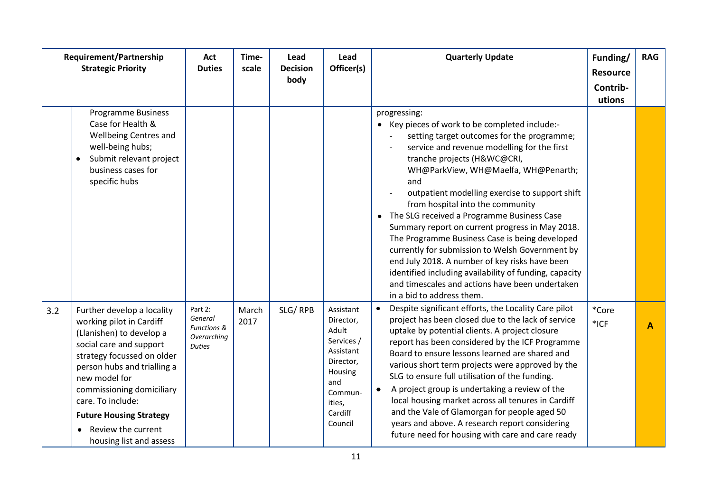|     | Requirement/Partnership<br><b>Strategic Priority</b>                                                                                                                                                                                                                                                                                          | Act<br><b>Duties</b>                                              | Time-<br>scale | Lead<br><b>Decision</b><br>body | Lead<br>Officer(s)                                                                                                                   | <b>Quarterly Update</b>                                                                                                                                                                                                                                                                                                                                                                                                                                                                                                                                                                                                                                                                                                            | Funding/<br><b>Resource</b><br>Contrib-<br>utions | <b>RAG</b> |
|-----|-----------------------------------------------------------------------------------------------------------------------------------------------------------------------------------------------------------------------------------------------------------------------------------------------------------------------------------------------|-------------------------------------------------------------------|----------------|---------------------------------|--------------------------------------------------------------------------------------------------------------------------------------|------------------------------------------------------------------------------------------------------------------------------------------------------------------------------------------------------------------------------------------------------------------------------------------------------------------------------------------------------------------------------------------------------------------------------------------------------------------------------------------------------------------------------------------------------------------------------------------------------------------------------------------------------------------------------------------------------------------------------------|---------------------------------------------------|------------|
|     | <b>Programme Business</b><br>Case for Health &<br><b>Wellbeing Centres and</b><br>well-being hubs;<br>Submit relevant project<br>business cases for<br>specific hubs                                                                                                                                                                          |                                                                   |                |                                 |                                                                                                                                      | progressing:<br>• Key pieces of work to be completed include:-<br>setting target outcomes for the programme;<br>service and revenue modelling for the first<br>tranche projects (H&WC@CRI,<br>WH@ParkView, WH@Maelfa, WH@Penarth;<br>and<br>outpatient modelling exercise to support shift<br>from hospital into the community<br>• The SLG received a Programme Business Case<br>Summary report on current progress in May 2018.<br>The Programme Business Case is being developed<br>currently for submission to Welsh Government by<br>end July 2018. A number of key risks have been<br>identified including availability of funding, capacity<br>and timescales and actions have been undertaken<br>in a bid to address them. |                                                   |            |
| 3.2 | Further develop a locality<br>working pilot in Cardiff<br>(Llanishen) to develop a<br>social care and support<br>strategy focussed on older<br>person hubs and trialling a<br>new model for<br>commissioning domiciliary<br>care. To include:<br><b>Future Housing Strategy</b><br>Review the current<br>$\bullet$<br>housing list and assess | Part 2:<br>General<br>Functions &<br>Overarching<br><b>Duties</b> | March<br>2017  | SLG/RPB                         | Assistant<br>Director,<br>Adult<br>Services /<br>Assistant<br>Director,<br>Housing<br>and<br>Commun-<br>ities,<br>Cardiff<br>Council | Despite significant efforts, the Locality Care pilot<br>$\bullet$<br>project has been closed due to the lack of service<br>uptake by potential clients. A project closure<br>report has been considered by the ICF Programme<br>Board to ensure lessons learned are shared and<br>various short term projects were approved by the<br>SLG to ensure full utilisation of the funding.<br>A project group is undertaking a review of the<br>$\bullet$<br>local housing market across all tenures in Cardiff<br>and the Vale of Glamorgan for people aged 50<br>years and above. A research report considering<br>future need for housing with care and care ready                                                                    | *Core<br>$*$ ICF                                  | A          |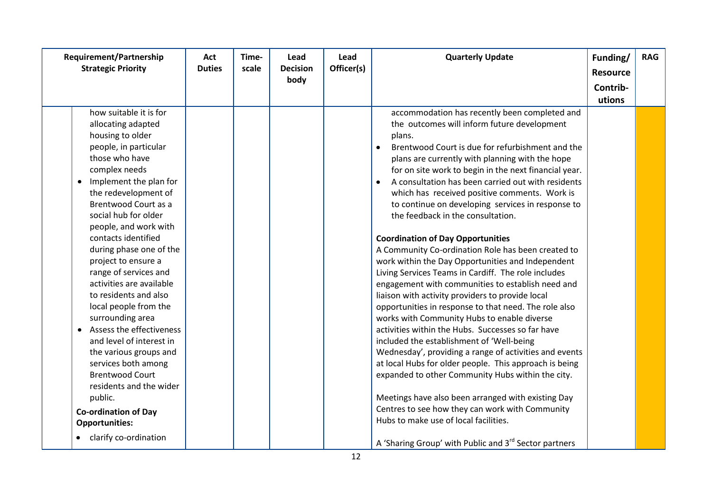| Requirement/Partnership<br><b>Strategic Priority</b>                                                                                                                                                                                                                                                                                                                                                                                                                                                                                                                                                                                                                                             | Act<br><b>Duties</b> | Time-<br>scale | Lead<br><b>Decision</b> | Lead<br>Officer(s) | <b>Quarterly Update</b>                                                                                                                                                                                                                                                                                                                                                                                                                                                                                                                                                                                                                                                                                                                                                                                                                                                                                                                                                                                                                                                                                                                                                                                                                                                                                                                                       | Funding/<br><b>Resource</b> | <b>RAG</b> |
|--------------------------------------------------------------------------------------------------------------------------------------------------------------------------------------------------------------------------------------------------------------------------------------------------------------------------------------------------------------------------------------------------------------------------------------------------------------------------------------------------------------------------------------------------------------------------------------------------------------------------------------------------------------------------------------------------|----------------------|----------------|-------------------------|--------------------|---------------------------------------------------------------------------------------------------------------------------------------------------------------------------------------------------------------------------------------------------------------------------------------------------------------------------------------------------------------------------------------------------------------------------------------------------------------------------------------------------------------------------------------------------------------------------------------------------------------------------------------------------------------------------------------------------------------------------------------------------------------------------------------------------------------------------------------------------------------------------------------------------------------------------------------------------------------------------------------------------------------------------------------------------------------------------------------------------------------------------------------------------------------------------------------------------------------------------------------------------------------------------------------------------------------------------------------------------------------|-----------------------------|------------|
|                                                                                                                                                                                                                                                                                                                                                                                                                                                                                                                                                                                                                                                                                                  |                      |                | body                    |                    |                                                                                                                                                                                                                                                                                                                                                                                                                                                                                                                                                                                                                                                                                                                                                                                                                                                                                                                                                                                                                                                                                                                                                                                                                                                                                                                                                               | Contrib-                    |            |
|                                                                                                                                                                                                                                                                                                                                                                                                                                                                                                                                                                                                                                                                                                  |                      |                |                         |                    |                                                                                                                                                                                                                                                                                                                                                                                                                                                                                                                                                                                                                                                                                                                                                                                                                                                                                                                                                                                                                                                                                                                                                                                                                                                                                                                                                               |                             |            |
| how suitable it is for<br>allocating adapted<br>housing to older<br>people, in particular<br>those who have<br>complex needs<br>• Implement the plan for<br>the redevelopment of<br>Brentwood Court as a<br>social hub for older<br>people, and work with<br>contacts identified<br>during phase one of the<br>project to ensure a<br>range of services and<br>activities are available<br>to residents and also<br>local people from the<br>surrounding area<br>• Assess the effectiveness<br>and level of interest in<br>the various groups and<br>services both among<br><b>Brentwood Court</b><br>residents and the wider<br>public.<br><b>Co-ordination of Day</b><br><b>Opportunities:</b> |                      |                |                         |                    | accommodation has recently been completed and<br>the outcomes will inform future development<br>plans.<br>Brentwood Court is due for refurbishment and the<br>$\bullet$<br>plans are currently with planning with the hope<br>for on site work to begin in the next financial year.<br>A consultation has been carried out with residents<br>$\bullet$<br>which has received positive comments. Work is<br>to continue on developing services in response to<br>the feedback in the consultation.<br><b>Coordination of Day Opportunities</b><br>A Community Co-ordination Role has been created to<br>work within the Day Opportunities and Independent<br>Living Services Teams in Cardiff. The role includes<br>engagement with communities to establish need and<br>liaison with activity providers to provide local<br>opportunities in response to that need. The role also<br>works with Community Hubs to enable diverse<br>activities within the Hubs. Successes so far have<br>included the establishment of 'Well-being<br>Wednesday', providing a range of activities and events<br>at local Hubs for older people. This approach is being<br>expanded to other Community Hubs within the city.<br>Meetings have also been arranged with existing Day<br>Centres to see how they can work with Community<br>Hubs to make use of local facilities. | utions                      |            |
| • clarify co-ordination                                                                                                                                                                                                                                                                                                                                                                                                                                                                                                                                                                                                                                                                          |                      |                |                         |                    | A 'Sharing Group' with Public and 3 <sup>rd</sup> Sector partners                                                                                                                                                                                                                                                                                                                                                                                                                                                                                                                                                                                                                                                                                                                                                                                                                                                                                                                                                                                                                                                                                                                                                                                                                                                                                             |                             |            |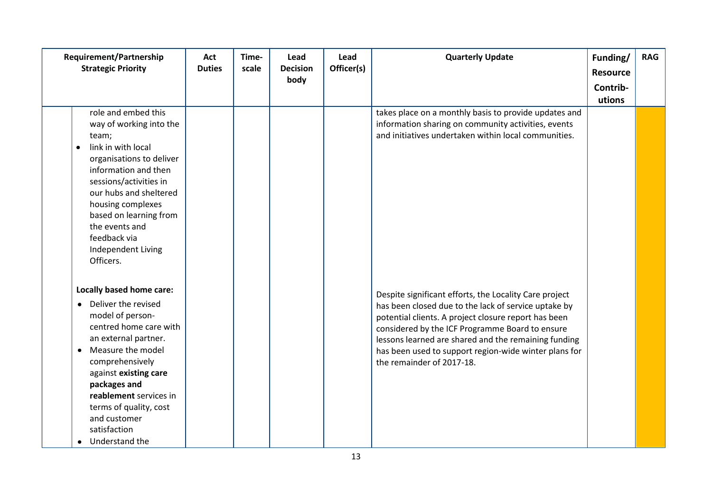| Requirement/Partnership                                                                                                                                                                                                                                                                                                                             | Act           | Time- | Lead            | Lead       | <b>Quarterly Update</b>                                                                                                                                                                                                                                                                                                                                                 | Funding/        | <b>RAG</b> |
|-----------------------------------------------------------------------------------------------------------------------------------------------------------------------------------------------------------------------------------------------------------------------------------------------------------------------------------------------------|---------------|-------|-----------------|------------|-------------------------------------------------------------------------------------------------------------------------------------------------------------------------------------------------------------------------------------------------------------------------------------------------------------------------------------------------------------------------|-----------------|------------|
| <b>Strategic Priority</b>                                                                                                                                                                                                                                                                                                                           | <b>Duties</b> | scale | <b>Decision</b> | Officer(s) |                                                                                                                                                                                                                                                                                                                                                                         | <b>Resource</b> |            |
|                                                                                                                                                                                                                                                                                                                                                     |               |       | body            |            |                                                                                                                                                                                                                                                                                                                                                                         | Contrib-        |            |
|                                                                                                                                                                                                                                                                                                                                                     |               |       |                 |            |                                                                                                                                                                                                                                                                                                                                                                         | utions          |            |
| role and embed this<br>way of working into the<br>team;<br>link in with local<br>$\bullet$<br>organisations to deliver<br>information and then<br>sessions/activities in<br>our hubs and sheltered<br>housing complexes<br>based on learning from<br>the events and<br>feedback via<br>Independent Living<br>Officers.                              |               |       |                 |            | takes place on a monthly basis to provide updates and<br>information sharing on community activities, events<br>and initiatives undertaken within local communities.                                                                                                                                                                                                    |                 |            |
| Locally based home care:<br>Deliver the revised<br>$\bullet$<br>model of person-<br>centred home care with<br>an external partner.<br>Measure the model<br>$\bullet$<br>comprehensively<br>against existing care<br>packages and<br>reablement services in<br>terms of quality, cost<br>and customer<br>satisfaction<br>Understand the<br>$\bullet$ |               |       |                 |            | Despite significant efforts, the Locality Care project<br>has been closed due to the lack of service uptake by<br>potential clients. A project closure report has been<br>considered by the ICF Programme Board to ensure<br>lessons learned are shared and the remaining funding<br>has been used to support region-wide winter plans for<br>the remainder of 2017-18. |                 |            |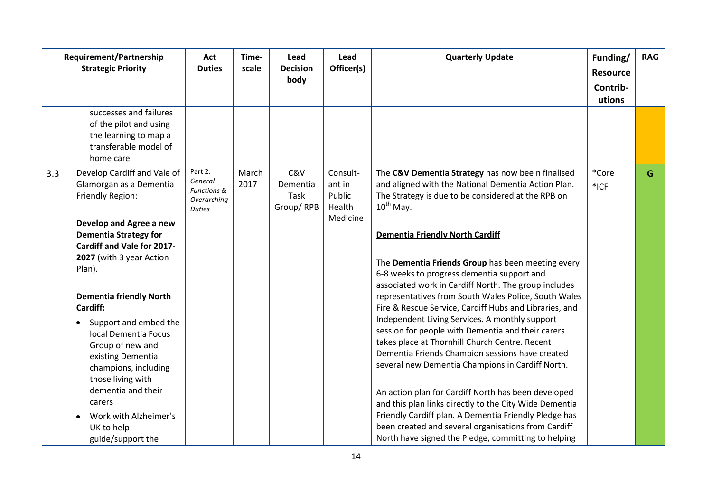|     | Requirement/Partnership<br><b>Strategic Priority</b>                                                                                                                                                                                                                                                                                                                                                                                                                                                                 |                                                                              | Time-<br>scale | Lead<br><b>Decision</b><br>body      | Lead<br>Officer(s)                                 | <b>Quarterly Update</b>                                                                                                                                                                                                                                                                                                                                                                                                                                                                                                                                                                                                                                                                                                                                                                                                                                                                                                                                                                                                                                         | Funding/<br><b>Resource</b><br>Contrib-<br>utions | <b>RAG</b> |
|-----|----------------------------------------------------------------------------------------------------------------------------------------------------------------------------------------------------------------------------------------------------------------------------------------------------------------------------------------------------------------------------------------------------------------------------------------------------------------------------------------------------------------------|------------------------------------------------------------------------------|----------------|--------------------------------------|----------------------------------------------------|-----------------------------------------------------------------------------------------------------------------------------------------------------------------------------------------------------------------------------------------------------------------------------------------------------------------------------------------------------------------------------------------------------------------------------------------------------------------------------------------------------------------------------------------------------------------------------------------------------------------------------------------------------------------------------------------------------------------------------------------------------------------------------------------------------------------------------------------------------------------------------------------------------------------------------------------------------------------------------------------------------------------------------------------------------------------|---------------------------------------------------|------------|
|     | successes and failures<br>of the pilot and using<br>the learning to map a<br>transferable model of<br>home care                                                                                                                                                                                                                                                                                                                                                                                                      |                                                                              |                |                                      |                                                    |                                                                                                                                                                                                                                                                                                                                                                                                                                                                                                                                                                                                                                                                                                                                                                                                                                                                                                                                                                                                                                                                 |                                                   |            |
| 3.3 | Develop Cardiff and Vale of<br>Glamorgan as a Dementia<br>Friendly Region:<br>Develop and Agree a new<br><b>Dementia Strategy for</b><br>Cardiff and Vale for 2017-<br>2027 (with 3 year Action<br>Plan).<br><b>Dementia friendly North</b><br>Cardiff:<br>Support and embed the<br>$\bullet$<br>local Dementia Focus<br>Group of new and<br>existing Dementia<br>champions, including<br>those living with<br>dementia and their<br>carers<br>Work with Alzheimer's<br>$\bullet$<br>UK to help<br>guide/support the | Part 2:<br>General<br><b>Functions &amp;</b><br>Overarching<br><b>Duties</b> | March<br>2017  | C&V<br>Dementia<br>Task<br>Group/RPB | Consult-<br>ant in<br>Public<br>Health<br>Medicine | The C&V Dementia Strategy has now bee n finalised<br>and aligned with the National Dementia Action Plan.<br>The Strategy is due to be considered at the RPB on<br>$10^{th}$ May.<br><b>Dementia Friendly North Cardiff</b><br>The Dementia Friends Group has been meeting every<br>6-8 weeks to progress dementia support and<br>associated work in Cardiff North. The group includes<br>representatives from South Wales Police, South Wales<br>Fire & Rescue Service, Cardiff Hubs and Libraries, and<br>Independent Living Services. A monthly support<br>session for people with Dementia and their carers<br>takes place at Thornhill Church Centre. Recent<br>Dementia Friends Champion sessions have created<br>several new Dementia Champions in Cardiff North.<br>An action plan for Cardiff North has been developed<br>and this plan links directly to the City Wide Dementia<br>Friendly Cardiff plan. A Dementia Friendly Pledge has<br>been created and several organisations from Cardiff<br>North have signed the Pledge, committing to helping | *Core<br>$*$ ICF                                  | G          |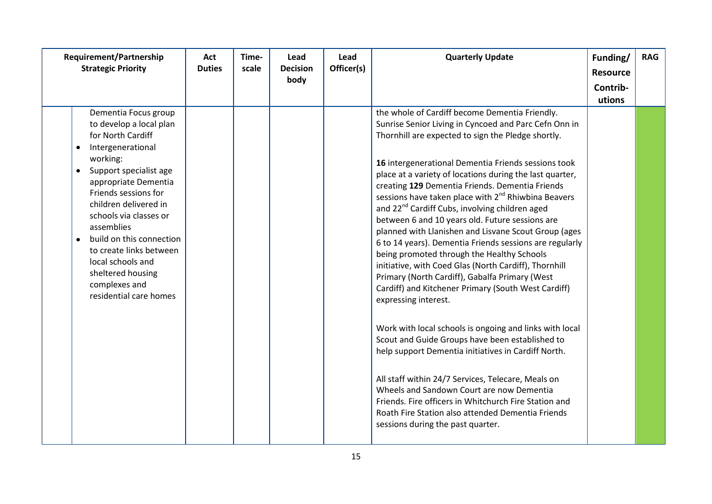| Requirement/Partnership<br><b>Strategic Priority</b>                                                                                                                                                                                                                                                                                                                                                                        |  | Time-<br>scale | Lead<br><b>Decision</b> | Lead<br>Officer(s) | <b>Quarterly Update</b>                                                                                                                                                                                                                                                                                                                                                                                                                                                                                                                                                                                                                                                                                                                                                                                                                                                                                                                                                                                                                                                                                                                                                                                                                                                                                       | Funding/<br><b>Resource</b> | <b>RAG</b> |
|-----------------------------------------------------------------------------------------------------------------------------------------------------------------------------------------------------------------------------------------------------------------------------------------------------------------------------------------------------------------------------------------------------------------------------|--|----------------|-------------------------|--------------------|---------------------------------------------------------------------------------------------------------------------------------------------------------------------------------------------------------------------------------------------------------------------------------------------------------------------------------------------------------------------------------------------------------------------------------------------------------------------------------------------------------------------------------------------------------------------------------------------------------------------------------------------------------------------------------------------------------------------------------------------------------------------------------------------------------------------------------------------------------------------------------------------------------------------------------------------------------------------------------------------------------------------------------------------------------------------------------------------------------------------------------------------------------------------------------------------------------------------------------------------------------------------------------------------------------------|-----------------------------|------------|
|                                                                                                                                                                                                                                                                                                                                                                                                                             |  |                | body                    |                    |                                                                                                                                                                                                                                                                                                                                                                                                                                                                                                                                                                                                                                                                                                                                                                                                                                                                                                                                                                                                                                                                                                                                                                                                                                                                                                               | Contrib-                    |            |
|                                                                                                                                                                                                                                                                                                                                                                                                                             |  |                |                         |                    |                                                                                                                                                                                                                                                                                                                                                                                                                                                                                                                                                                                                                                                                                                                                                                                                                                                                                                                                                                                                                                                                                                                                                                                                                                                                                                               | utions                      |            |
| Dementia Focus group<br>to develop a local plan<br>for North Cardiff<br>Intergenerational<br>٠<br>working:<br>Support specialist age<br>$\bullet$<br>appropriate Dementia<br>Friends sessions for<br>children delivered in<br>schools via classes or<br>assemblies<br>build on this connection<br>$\bullet$<br>to create links between<br>local schools and<br>sheltered housing<br>complexes and<br>residential care homes |  |                |                         |                    | the whole of Cardiff become Dementia Friendly.<br>Sunrise Senior Living in Cyncoed and Parc Cefn Onn in<br>Thornhill are expected to sign the Pledge shortly.<br>16 intergenerational Dementia Friends sessions took<br>place at a variety of locations during the last quarter,<br>creating 129 Dementia Friends. Dementia Friends<br>sessions have taken place with 2 <sup>nd</sup> Rhiwbina Beavers<br>and 22 <sup>nd</sup> Cardiff Cubs, involving children aged<br>between 6 and 10 years old. Future sessions are<br>planned with Llanishen and Lisvane Scout Group (ages<br>6 to 14 years). Dementia Friends sessions are regularly<br>being promoted through the Healthy Schools<br>initiative, with Coed Glas (North Cardiff), Thornhill<br>Primary (North Cardiff), Gabalfa Primary (West<br>Cardiff) and Kitchener Primary (South West Cardiff)<br>expressing interest.<br>Work with local schools is ongoing and links with local<br>Scout and Guide Groups have been established to<br>help support Dementia initiatives in Cardiff North.<br>All staff within 24/7 Services, Telecare, Meals on<br>Wheels and Sandown Court are now Dementia<br>Friends. Fire officers in Whitchurch Fire Station and<br>Roath Fire Station also attended Dementia Friends<br>sessions during the past quarter. |                             |            |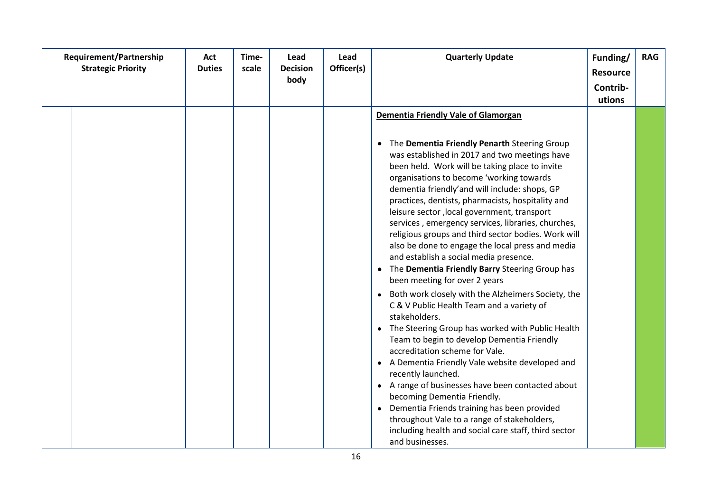| <b>Requirement/Partnership</b><br><b>Strategic Priority</b> | Act<br><b>Duties</b> | Time-<br>scale | Lead<br><b>Decision</b> | Lead<br>Officer(s) | <b>Quarterly Update</b>                                                                                   | Funding/<br><b>Resource</b> | <b>RAG</b> |
|-------------------------------------------------------------|----------------------|----------------|-------------------------|--------------------|-----------------------------------------------------------------------------------------------------------|-----------------------------|------------|
|                                                             |                      |                | body                    |                    |                                                                                                           |                             |            |
|                                                             |                      |                |                         |                    |                                                                                                           | Contrib-                    |            |
|                                                             |                      |                |                         |                    |                                                                                                           | utions                      |            |
|                                                             |                      |                |                         |                    | Dementia Friendly Vale of Glamorgan                                                                       |                             |            |
|                                                             |                      |                |                         |                    |                                                                                                           |                             |            |
|                                                             |                      |                |                         |                    | The Dementia Friendly Penarth Steering Group<br>٠                                                         |                             |            |
|                                                             |                      |                |                         |                    | was established in 2017 and two meetings have                                                             |                             |            |
|                                                             |                      |                |                         |                    | been held. Work will be taking place to invite                                                            |                             |            |
|                                                             |                      |                |                         |                    | organisations to become 'working towards                                                                  |                             |            |
|                                                             |                      |                |                         |                    | dementia friendly'and will include: shops, GP                                                             |                             |            |
|                                                             |                      |                |                         |                    | practices, dentists, pharmacists, hospitality and                                                         |                             |            |
|                                                             |                      |                |                         |                    | leisure sector, local government, transport                                                               |                             |            |
|                                                             |                      |                |                         |                    | services, emergency services, libraries, churches,<br>religious groups and third sector bodies. Work will |                             |            |
|                                                             |                      |                |                         |                    | also be done to engage the local press and media                                                          |                             |            |
|                                                             |                      |                |                         |                    | and establish a social media presence.                                                                    |                             |            |
|                                                             |                      |                |                         |                    | • The Dementia Friendly Barry Steering Group has                                                          |                             |            |
|                                                             |                      |                |                         |                    | been meeting for over 2 years                                                                             |                             |            |
|                                                             |                      |                |                         |                    | Both work closely with the Alzheimers Society, the                                                        |                             |            |
|                                                             |                      |                |                         |                    | C & V Public Health Team and a variety of                                                                 |                             |            |
|                                                             |                      |                |                         |                    | stakeholders.                                                                                             |                             |            |
|                                                             |                      |                |                         |                    | • The Steering Group has worked with Public Health                                                        |                             |            |
|                                                             |                      |                |                         |                    | Team to begin to develop Dementia Friendly                                                                |                             |            |
|                                                             |                      |                |                         |                    | accreditation scheme for Vale.                                                                            |                             |            |
|                                                             |                      |                |                         |                    | • A Dementia Friendly Vale website developed and                                                          |                             |            |
|                                                             |                      |                |                         |                    | recently launched.                                                                                        |                             |            |
|                                                             |                      |                |                         |                    | • A range of businesses have been contacted about                                                         |                             |            |
|                                                             |                      |                |                         |                    | becoming Dementia Friendly.                                                                               |                             |            |
|                                                             |                      |                |                         |                    | Dementia Friends training has been provided<br>$\bullet$                                                  |                             |            |
|                                                             |                      |                |                         |                    | throughout Vale to a range of stakeholders,<br>including health and social care staff, third sector       |                             |            |
|                                                             |                      |                |                         |                    | and businesses.                                                                                           |                             |            |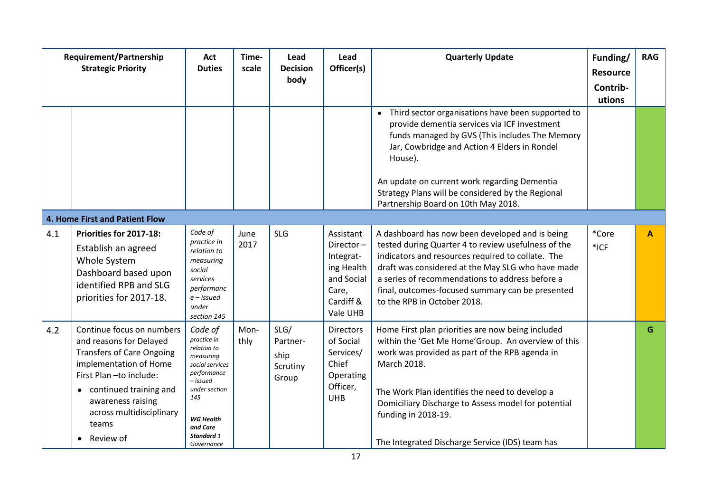|     | Requirement/Partnership<br><b>Strategic Priority</b>                                                                                                                                                                                          | Act<br><b>Duties</b>                                                                                                                                                                        | Time-<br>scale | Lead<br><b>Decision</b><br>body               | Lead<br>Officer(s)                                                                                | <b>Quarterly Update</b>                                                                                                                                                                                                                                                                                                                                      | Funding/<br><b>Resource</b><br>Contrib-<br>utions | <b>RAG</b> |
|-----|-----------------------------------------------------------------------------------------------------------------------------------------------------------------------------------------------------------------------------------------------|---------------------------------------------------------------------------------------------------------------------------------------------------------------------------------------------|----------------|-----------------------------------------------|---------------------------------------------------------------------------------------------------|--------------------------------------------------------------------------------------------------------------------------------------------------------------------------------------------------------------------------------------------------------------------------------------------------------------------------------------------------------------|---------------------------------------------------|------------|
|     |                                                                                                                                                                                                                                               |                                                                                                                                                                                             |                |                                               |                                                                                                   | Third sector organisations have been supported to<br>provide dementia services via ICF investment<br>funds managed by GVS (This includes The Memory<br>Jar, Cowbridge and Action 4 Elders in Rondel<br>House).<br>An update on current work regarding Dementia<br>Strategy Plans will be considered by the Regional<br>Partnership Board on 10th May 2018.   |                                                   |            |
|     | 4. Home First and Patient Flow                                                                                                                                                                                                                |                                                                                                                                                                                             |                |                                               |                                                                                                   |                                                                                                                                                                                                                                                                                                                                                              |                                                   |            |
| 4.1 | Priorities for 2017-18:<br>Establish an agreed<br>Whole System<br>Dashboard based upon<br>identified RPB and SLG<br>priorities for 2017-18.                                                                                                   | Code of<br>practice in<br>relation to<br>measuring<br>social<br>services<br>performanc<br>$e$ – issued<br>under<br>section 145                                                              | June<br>2017   | <b>SLG</b>                                    | Assistant<br>Director-<br>Integrat-<br>ing Health<br>and Social<br>Care,<br>Cardiff &<br>Vale UHB | A dashboard has now been developed and is being<br>tested during Quarter 4 to review usefulness of the<br>indicators and resources required to collate. The<br>draft was considered at the May SLG who have made<br>a series of recommendations to address before a<br>final, outcomes-focused summary can be presented<br>to the RPB in October 2018.       | *Core<br>*ICF                                     | A          |
| 4.2 | Continue focus on numbers<br>and reasons for Delayed<br><b>Transfers of Care Ongoing</b><br>implementation of Home<br>First Plan-to include:<br>continued training and<br>awareness raising<br>across multidisciplinary<br>teams<br>Review of | Code of<br>practice in<br>relation to<br>measuring<br>social services<br>performance<br>- issued<br>under section<br>145<br><b>WG Health</b><br>and Care<br><b>Standard 1</b><br>Governance | Mon-<br>thly   | SLG/<br>Partner-<br>ship<br>Scrutiny<br>Group | <b>Directors</b><br>of Social<br>Services/<br>Chief<br>Operating<br>Officer,<br><b>UHB</b>        | Home First plan priorities are now being included<br>within the 'Get Me Home' Group. An overview of this<br>work was provided as part of the RPB agenda in<br>March 2018.<br>The Work Plan identifies the need to develop a<br>Domiciliary Discharge to Assess model for potential<br>funding in 2018-19.<br>The Integrated Discharge Service (IDS) team has |                                                   | G          |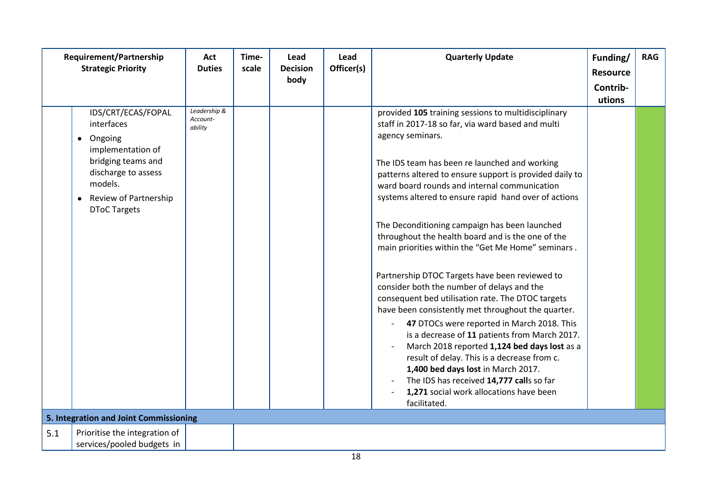|     | Requirement/Partnership<br><b>Strategic Priority</b>                                                                                                                                               | Act<br><b>Duties</b>                | Time-<br>scale | Lead<br><b>Decision</b><br>body | Lead<br>Officer(s) | <b>Quarterly Update</b>                                                                                                                                                                                                                                                                                                                                                                                                                                                                                                                                                                                                                                                                                                                                                                                                                                                                                                                                                                                                                                            | Funding/<br><b>Resource</b><br>Contrib-<br>utions | <b>RAG</b> |
|-----|----------------------------------------------------------------------------------------------------------------------------------------------------------------------------------------------------|-------------------------------------|----------------|---------------------------------|--------------------|--------------------------------------------------------------------------------------------------------------------------------------------------------------------------------------------------------------------------------------------------------------------------------------------------------------------------------------------------------------------------------------------------------------------------------------------------------------------------------------------------------------------------------------------------------------------------------------------------------------------------------------------------------------------------------------------------------------------------------------------------------------------------------------------------------------------------------------------------------------------------------------------------------------------------------------------------------------------------------------------------------------------------------------------------------------------|---------------------------------------------------|------------|
|     | IDS/CRT/ECAS/FOPAL<br>interfaces<br>Ongoing<br>$\bullet$<br>implementation of<br>bridging teams and<br>discharge to assess<br>models.<br>Review of Partnership<br>$\bullet$<br><b>DToC Targets</b> | Leadership &<br>Account-<br>ability |                |                                 |                    | provided 105 training sessions to multidisciplinary<br>staff in 2017-18 so far, via ward based and multi<br>agency seminars.<br>The IDS team has been re launched and working<br>patterns altered to ensure support is provided daily to<br>ward board rounds and internal communication<br>systems altered to ensure rapid hand over of actions<br>The Deconditioning campaign has been launched<br>throughout the health board and is the one of the<br>main priorities within the "Get Me Home" seminars.<br>Partnership DTOC Targets have been reviewed to<br>consider both the number of delays and the<br>consequent bed utilisation rate. The DTOC targets<br>have been consistently met throughout the quarter.<br>47 DTOCs were reported in March 2018. This<br>is a decrease of 11 patients from March 2017.<br>March 2018 reported 1,124 bed days lost as a<br>result of delay. This is a decrease from c.<br>1,400 bed days lost in March 2017.<br>The IDS has received 14,777 calls so far<br>1,271 social work allocations have been<br>facilitated. |                                                   |            |
|     | 5. Integration and Joint Commissioning                                                                                                                                                             |                                     |                |                                 |                    |                                                                                                                                                                                                                                                                                                                                                                                                                                                                                                                                                                                                                                                                                                                                                                                                                                                                                                                                                                                                                                                                    |                                                   |            |
| 5.1 | Prioritise the integration of<br>services/pooled budgets in                                                                                                                                        |                                     |                |                                 |                    |                                                                                                                                                                                                                                                                                                                                                                                                                                                                                                                                                                                                                                                                                                                                                                                                                                                                                                                                                                                                                                                                    |                                                   |            |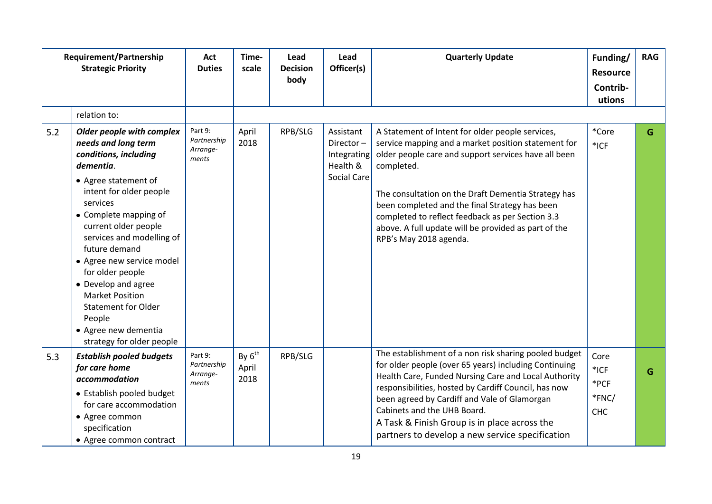|     | Requirement/Partnership<br><b>Strategic Priority</b>                                                                                                                                                                                                                                                                                                                                                                                                | Act<br><b>Duties</b>                        | Time-<br>scale               | Lead<br><b>Decision</b><br>body | Lead<br>Officer(s)                                                      | <b>Quarterly Update</b>                                                                                                                                                                                                                                                                                                                                                                                                      | Funding/<br><b>Resource</b><br>Contrib-<br>utions | <b>RAG</b> |
|-----|-----------------------------------------------------------------------------------------------------------------------------------------------------------------------------------------------------------------------------------------------------------------------------------------------------------------------------------------------------------------------------------------------------------------------------------------------------|---------------------------------------------|------------------------------|---------------------------------|-------------------------------------------------------------------------|------------------------------------------------------------------------------------------------------------------------------------------------------------------------------------------------------------------------------------------------------------------------------------------------------------------------------------------------------------------------------------------------------------------------------|---------------------------------------------------|------------|
|     | relation to:                                                                                                                                                                                                                                                                                                                                                                                                                                        |                                             |                              |                                 |                                                                         |                                                                                                                                                                                                                                                                                                                                                                                                                              |                                                   |            |
| 5.2 | Older people with complex<br>needs and long term<br>conditions, including<br>dementia.<br>• Agree statement of<br>intent for older people<br>services<br>• Complete mapping of<br>current older people<br>services and modelling of<br>future demand<br>• Agree new service model<br>for older people<br>• Develop and agree<br><b>Market Position</b><br><b>Statement for Older</b><br>People<br>• Agree new dementia<br>strategy for older people | Part 9:<br>Partnership<br>Arrange-<br>ments | April<br>2018                | RPB/SLG                         | Assistant<br>Director-<br>Integrating<br>Health &<br><b>Social Care</b> | A Statement of Intent for older people services,<br>service mapping and a market position statement for<br>older people care and support services have all been<br>completed.<br>The consultation on the Draft Dementia Strategy has<br>been completed and the final Strategy has been<br>completed to reflect feedback as per Section 3.3<br>above. A full update will be provided as part of the<br>RPB's May 2018 agenda. | *Core<br>$*$ ICF                                  | G          |
| 5.3 | <b>Establish pooled budgets</b><br>for care home<br>accommodation<br>• Establish pooled budget<br>for care accommodation<br>• Agree common<br>specification<br>• Agree common contract                                                                                                                                                                                                                                                              | Part 9:<br>Partnership<br>Arrange-<br>ments | By $6^{th}$<br>April<br>2018 | RPB/SLG                         |                                                                         | The establishment of a non risk sharing pooled budget<br>for older people (over 65 years) including Continuing<br>Health Care, Funded Nursing Care and Local Authority<br>responsibilities, hosted by Cardiff Council, has now<br>been agreed by Cardiff and Vale of Glamorgan<br>Cabinets and the UHB Board.<br>A Task & Finish Group is in place across the<br>partners to develop a new service specification             | Core<br>$*$ ICF<br>*PCF<br>*FNC/<br><b>CHC</b>    | G          |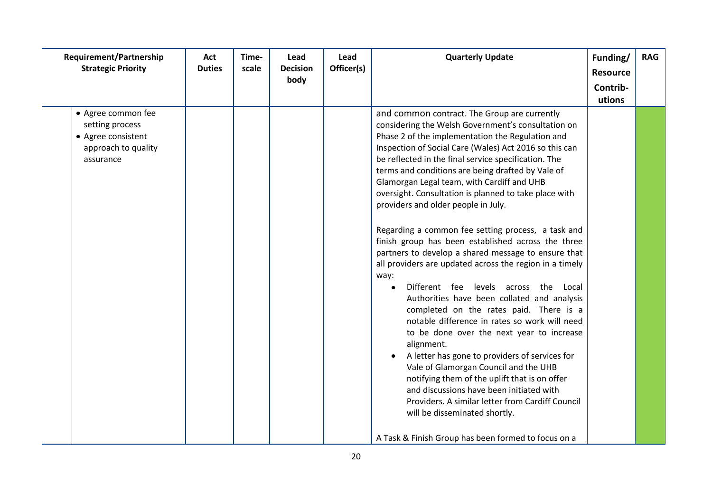| Requirement/Partnership<br><b>Strategic Priority</b>                                            | Act<br><b>Duties</b> | Time-<br>scale | Lead<br><b>Decision</b><br>body | Lead<br>Officer(s) | <b>Quarterly Update</b>                                                                                                                                                                                                                                                                                                                                                                                                                                                                                                                                                                                                                                                                                                                                                                                                                                                                                                                                                                                                                                                                                                                                                                                                                                                                              | Funding/<br><b>Resource</b><br>Contrib-<br>utions | <b>RAG</b> |
|-------------------------------------------------------------------------------------------------|----------------------|----------------|---------------------------------|--------------------|------------------------------------------------------------------------------------------------------------------------------------------------------------------------------------------------------------------------------------------------------------------------------------------------------------------------------------------------------------------------------------------------------------------------------------------------------------------------------------------------------------------------------------------------------------------------------------------------------------------------------------------------------------------------------------------------------------------------------------------------------------------------------------------------------------------------------------------------------------------------------------------------------------------------------------------------------------------------------------------------------------------------------------------------------------------------------------------------------------------------------------------------------------------------------------------------------------------------------------------------------------------------------------------------------|---------------------------------------------------|------------|
| • Agree common fee<br>setting process<br>• Agree consistent<br>approach to quality<br>assurance |                      |                |                                 |                    | and common contract. The Group are currently<br>considering the Welsh Government's consultation on<br>Phase 2 of the implementation the Regulation and<br>Inspection of Social Care (Wales) Act 2016 so this can<br>be reflected in the final service specification. The<br>terms and conditions are being drafted by Vale of<br>Glamorgan Legal team, with Cardiff and UHB<br>oversight. Consultation is planned to take place with<br>providers and older people in July.<br>Regarding a common fee setting process, a task and<br>finish group has been established across the three<br>partners to develop a shared message to ensure that<br>all providers are updated across the region in a timely<br>way:<br>Different fee levels across the Local<br>Authorities have been collated and analysis<br>completed on the rates paid. There is a<br>notable difference in rates so work will need<br>to be done over the next year to increase<br>alignment.<br>A letter has gone to providers of services for<br>Vale of Glamorgan Council and the UHB<br>notifying them of the uplift that is on offer<br>and discussions have been initiated with<br>Providers. A similar letter from Cardiff Council<br>will be disseminated shortly.<br>A Task & Finish Group has been formed to focus on a |                                                   |            |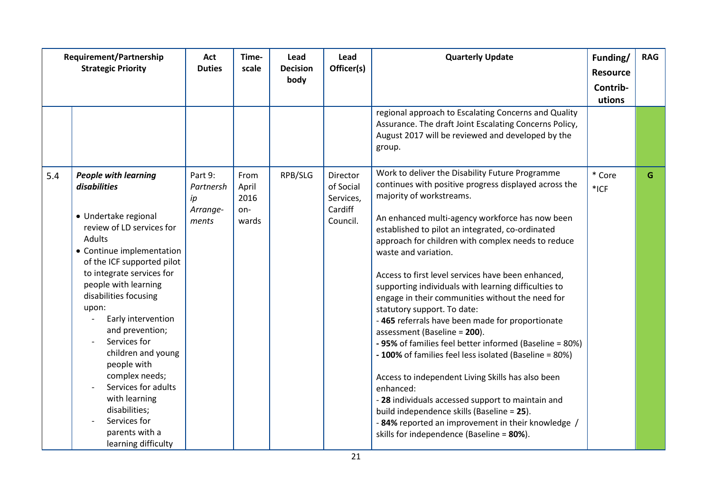|     | Requirement/Partnership<br><b>Strategic Priority</b>                                                                                                                                                                                                                                                                                                                                                                                                                                                  | Act<br><b>Duties</b>                            | Time-<br>scale                        | Lead<br><b>Decision</b><br>body | Lead<br>Officer(s)                                        | <b>Quarterly Update</b>                                                                                                                                                                                                                                                                                                                                                                                                                                                                                                                                                                                                                                                                                                                                                                                                                                                                                                                                                                                    | Funding/<br><b>Resource</b><br>Contrib- | <b>RAG</b> |
|-----|-------------------------------------------------------------------------------------------------------------------------------------------------------------------------------------------------------------------------------------------------------------------------------------------------------------------------------------------------------------------------------------------------------------------------------------------------------------------------------------------------------|-------------------------------------------------|---------------------------------------|---------------------------------|-----------------------------------------------------------|------------------------------------------------------------------------------------------------------------------------------------------------------------------------------------------------------------------------------------------------------------------------------------------------------------------------------------------------------------------------------------------------------------------------------------------------------------------------------------------------------------------------------------------------------------------------------------------------------------------------------------------------------------------------------------------------------------------------------------------------------------------------------------------------------------------------------------------------------------------------------------------------------------------------------------------------------------------------------------------------------------|-----------------------------------------|------------|
|     |                                                                                                                                                                                                                                                                                                                                                                                                                                                                                                       |                                                 |                                       |                                 |                                                           | regional approach to Escalating Concerns and Quality<br>Assurance. The draft Joint Escalating Concerns Policy,<br>August 2017 will be reviewed and developed by the<br>group.                                                                                                                                                                                                                                                                                                                                                                                                                                                                                                                                                                                                                                                                                                                                                                                                                              | utions                                  |            |
| 5.4 | <b>People with learning</b><br>disabilities<br>• Undertake regional<br>review of LD services for<br><b>Adults</b><br>• Continue implementation<br>of the ICF supported pilot<br>to integrate services for<br>people with learning<br>disabilities focusing<br>upon:<br>Early intervention<br>and prevention;<br>Services for<br>children and young<br>people with<br>complex needs;<br>Services for adults<br>with learning<br>disabilities;<br>Services for<br>parents with a<br>learning difficulty | Part 9:<br>Partnersh<br>ip<br>Arrange-<br>ments | From<br>April<br>2016<br>on-<br>wards | RPB/SLG                         | Director<br>of Social<br>Services,<br>Cardiff<br>Council. | Work to deliver the Disability Future Programme<br>continues with positive progress displayed across the<br>majority of workstreams.<br>An enhanced multi-agency workforce has now been<br>established to pilot an integrated, co-ordinated<br>approach for children with complex needs to reduce<br>waste and variation.<br>Access to first level services have been enhanced,<br>supporting individuals with learning difficulties to<br>engage in their communities without the need for<br>statutory support. To date:<br>-465 referrals have been made for proportionate<br>assessment (Baseline = 200).<br>- 95% of families feel better informed (Baseline = 80%)<br>- 100% of families feel less isolated (Baseline = 80%)<br>Access to independent Living Skills has also been<br>enhanced:<br>- 28 individuals accessed support to maintain and<br>build independence skills (Baseline = 25).<br>- 84% reported an improvement in their knowledge /<br>skills for independence (Baseline = 80%). | * Core<br>$*$ ICF                       | G          |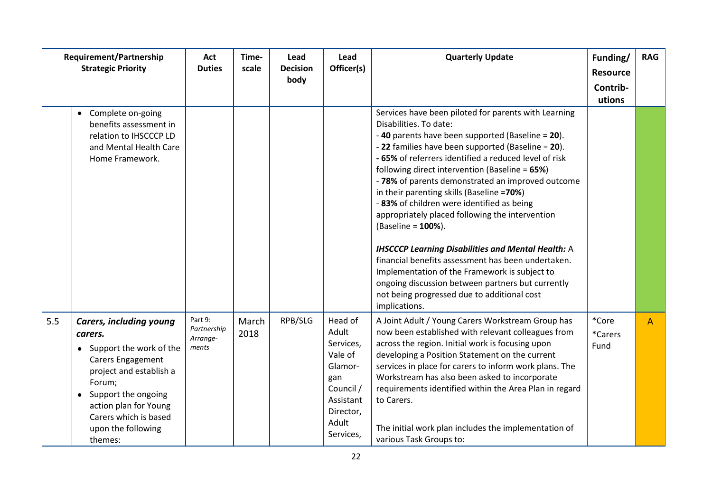|     | Requirement/Partnership<br><b>Strategic Priority</b>                                                                                                                                                                                       | Act<br><b>Duties</b>                        | Time-<br>scale | Lead<br><b>Decision</b><br>body | Lead<br>Officer(s)                                                                                                      | <b>Quarterly Update</b>                                                                                                                                                                                                                                                                                                                                                                                                                                                                                                                                                                                                                                                                                                                                                                                              | Funding/<br><b>Resource</b><br>Contrib- | <b>RAG</b>   |
|-----|--------------------------------------------------------------------------------------------------------------------------------------------------------------------------------------------------------------------------------------------|---------------------------------------------|----------------|---------------------------------|-------------------------------------------------------------------------------------------------------------------------|----------------------------------------------------------------------------------------------------------------------------------------------------------------------------------------------------------------------------------------------------------------------------------------------------------------------------------------------------------------------------------------------------------------------------------------------------------------------------------------------------------------------------------------------------------------------------------------------------------------------------------------------------------------------------------------------------------------------------------------------------------------------------------------------------------------------|-----------------------------------------|--------------|
|     | Complete on-going<br>$\bullet$<br>benefits assessment in<br>relation to IHSCCCP LD<br>and Mental Health Care<br>Home Framework.                                                                                                            |                                             |                |                                 |                                                                                                                         | Services have been piloted for parents with Learning<br>Disabilities. To date:<br>-40 parents have been supported (Baseline = 20).<br>- 22 families have been supported (Baseline = 20).<br>- 65% of referrers identified a reduced level of risk<br>following direct intervention (Baseline = 65%)<br>- 78% of parents demonstrated an improved outcome<br>in their parenting skills (Baseline =70%)<br>-83% of children were identified as being<br>appropriately placed following the intervention<br>(Baseline = 100%).<br><b>IHSCCCP Learning Disabilities and Mental Health: A</b><br>financial benefits assessment has been undertaken.<br>Implementation of the Framework is subject to<br>ongoing discussion between partners but currently<br>not being progressed due to additional cost<br>implications. | utions                                  |              |
| 5.5 | <b>Carers, including young</b><br>carers.<br>• Support the work of the<br>Carers Engagement<br>project and establish a<br>Forum;<br>Support the ongoing<br>action plan for Young<br>Carers which is based<br>upon the following<br>themes: | Part 9:<br>Partnership<br>Arrange-<br>ments | March<br>2018  | RPB/SLG                         | Head of<br>Adult<br>Services,<br>Vale of<br>Glamor-<br>gan<br>Council /<br>Assistant<br>Director,<br>Adult<br>Services, | A Joint Adult / Young Carers Workstream Group has<br>now been established with relevant colleagues from<br>across the region. Initial work is focusing upon<br>developing a Position Statement on the current<br>services in place for carers to inform work plans. The<br>Workstream has also been asked to incorporate<br>requirements identified within the Area Plan in regard<br>to Carers.<br>The initial work plan includes the implementation of<br>various Task Groups to:                                                                                                                                                                                                                                                                                                                                  | *Core<br>*Carers<br>Fund                | $\mathsf{A}$ |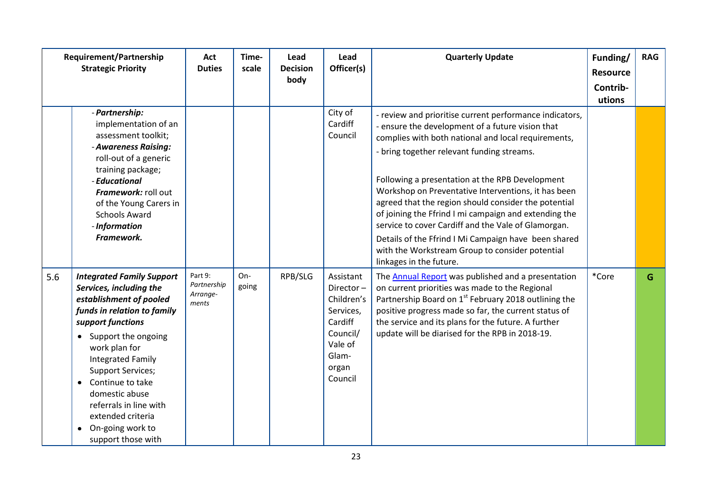|     | <b>Requirement/Partnership</b><br><b>Strategic Priority</b>                                                                                                                                                                                                                                                                                                                                           | Act<br><b>Duties</b>                        | Time-<br>scale | Lead<br><b>Decision</b><br>body | Lead<br>Officer(s)                                                                                               | <b>Quarterly Update</b>                                                                                                                                                                                                                                                                                                                                                                                                                                                                                                                                                                                                                  | Funding/<br><b>Resource</b><br>Contrib-<br>utions | <b>RAG</b> |
|-----|-------------------------------------------------------------------------------------------------------------------------------------------------------------------------------------------------------------------------------------------------------------------------------------------------------------------------------------------------------------------------------------------------------|---------------------------------------------|----------------|---------------------------------|------------------------------------------------------------------------------------------------------------------|------------------------------------------------------------------------------------------------------------------------------------------------------------------------------------------------------------------------------------------------------------------------------------------------------------------------------------------------------------------------------------------------------------------------------------------------------------------------------------------------------------------------------------------------------------------------------------------------------------------------------------------|---------------------------------------------------|------------|
|     | - Partnership:<br>implementation of an<br>assessment toolkit;<br>- Awareness Raising:<br>roll-out of a generic<br>training package;<br>- Educational<br>Framework: roll out<br>of the Young Carers in<br><b>Schools Award</b><br>- Information<br>Framework.                                                                                                                                          |                                             |                |                                 | City of<br>Cardiff<br>Council                                                                                    | - review and prioritise current performance indicators,<br>- ensure the development of a future vision that<br>complies with both national and local requirements,<br>- bring together relevant funding streams.<br>Following a presentation at the RPB Development<br>Workshop on Preventative Interventions, it has been<br>agreed that the region should consider the potential<br>of joining the Ffrind I mi campaign and extending the<br>service to cover Cardiff and the Vale of Glamorgan.<br>Details of the Ffrind I Mi Campaign have been shared<br>with the Workstream Group to consider potential<br>linkages in the future. |                                                   |            |
| 5.6 | <b>Integrated Family Support</b><br>Services, including the<br>establishment of pooled<br>funds in relation to family<br>support functions<br>• Support the ongoing<br>work plan for<br><b>Integrated Family</b><br><b>Support Services;</b><br>Continue to take<br>$\bullet$<br>domestic abuse<br>referrals in line with<br>extended criteria<br>On-going work to<br>$\bullet$<br>support those with | Part 9:<br>Partnership<br>Arrange-<br>ments | On-<br>going   | RPB/SLG                         | Assistant<br>Director-<br>Children's<br>Services,<br>Cardiff<br>Council/<br>Vale of<br>Glam-<br>organ<br>Council | The <b>Annual Report</b> was published and a presentation<br>on current priorities was made to the Regional<br>Partnership Board on 1 <sup>st</sup> February 2018 outlining the<br>positive progress made so far, the current status of<br>the service and its plans for the future. A further<br>update will be diarised for the RPB in 2018-19.                                                                                                                                                                                                                                                                                        | *Core                                             | G          |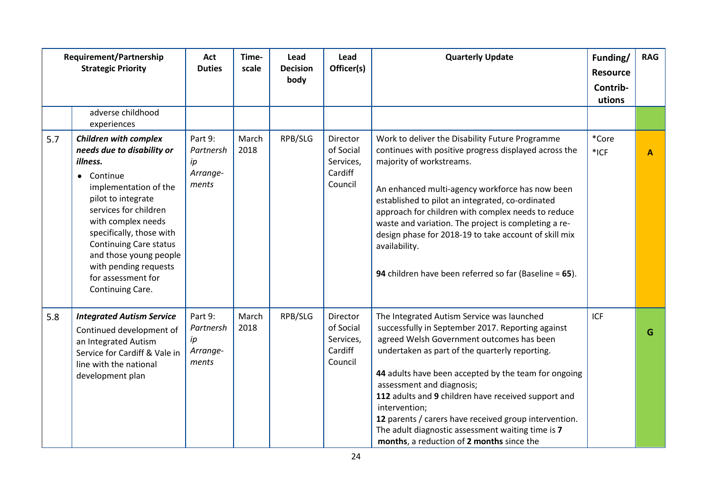|     | Requirement/Partnership<br><b>Strategic Priority</b>                                                                                                                                                                                                                                                                                                    | Act<br><b>Duties</b>                            | Time-<br>scale | Lead<br><b>Decision</b><br>body | Lead<br>Officer(s)                                       | <b>Quarterly Update</b>                                                                                                                                                                                                                                                                                                                                                                                                                                                                                                | Funding/<br><b>Resource</b><br>Contrib-<br>utions | <b>RAG</b> |
|-----|---------------------------------------------------------------------------------------------------------------------------------------------------------------------------------------------------------------------------------------------------------------------------------------------------------------------------------------------------------|-------------------------------------------------|----------------|---------------------------------|----------------------------------------------------------|------------------------------------------------------------------------------------------------------------------------------------------------------------------------------------------------------------------------------------------------------------------------------------------------------------------------------------------------------------------------------------------------------------------------------------------------------------------------------------------------------------------------|---------------------------------------------------|------------|
|     | adverse childhood<br>experiences                                                                                                                                                                                                                                                                                                                        |                                                 |                |                                 |                                                          |                                                                                                                                                                                                                                                                                                                                                                                                                                                                                                                        |                                                   |            |
| 5.7 | <b>Children with complex</b><br>needs due to disability or<br>illness.<br>Continue<br>$\bullet$<br>implementation of the<br>pilot to integrate<br>services for children<br>with complex needs<br>specifically, those with<br><b>Continuing Care status</b><br>and those young people<br>with pending requests<br>for assessment for<br>Continuing Care. | Part 9:<br>Partnersh<br>ip<br>Arrange-<br>ments | March<br>2018  | RPB/SLG                         | Director<br>of Social<br>Services,<br>Cardiff<br>Council | Work to deliver the Disability Future Programme<br>continues with positive progress displayed across the<br>majority of workstreams.<br>An enhanced multi-agency workforce has now been<br>established to pilot an integrated, co-ordinated<br>approach for children with complex needs to reduce<br>waste and variation. The project is completing a re-<br>design phase for 2018-19 to take account of skill mix<br>availability.<br>94 children have been referred so far (Baseline = 65).                          | *Core<br>$*$ ICF                                  | A          |
| 5.8 | <b>Integrated Autism Service</b><br>Continued development of<br>an Integrated Autism<br>Service for Cardiff & Vale in<br>line with the national<br>development plan                                                                                                                                                                                     | Part 9:<br>Partnersh<br>ip<br>Arrange-<br>ments | March<br>2018  | RPB/SLG                         | Director<br>of Social<br>Services,<br>Cardiff<br>Council | The Integrated Autism Service was launched<br>successfully in September 2017. Reporting against<br>agreed Welsh Government outcomes has been<br>undertaken as part of the quarterly reporting.<br>44 adults have been accepted by the team for ongoing<br>assessment and diagnosis;<br>112 adults and 9 children have received support and<br>intervention;<br>12 parents / carers have received group intervention.<br>The adult diagnostic assessment waiting time is 7<br>months, a reduction of 2 months since the | ICF                                               | G          |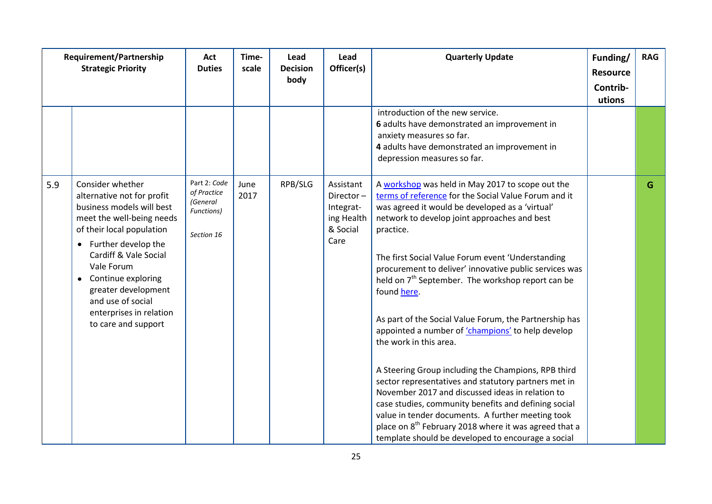|     | Requirement/Partnership<br><b>Strategic Priority</b>                                                                                                                                                                                                                                                                                 | Act<br><b>Duties</b>                                                | Time-<br>scale | Lead<br><b>Decision</b><br>body | Lead<br>Officer(s)                                                    | <b>Quarterly Update</b>                                                                                                                                                                                                                                                                                                                                                                                                                                                                                                                                                                                                                                                                                                                                                                                                                                                                                                                                                     | Funding/<br><b>Resource</b><br>Contrib- | <b>RAG</b> |
|-----|--------------------------------------------------------------------------------------------------------------------------------------------------------------------------------------------------------------------------------------------------------------------------------------------------------------------------------------|---------------------------------------------------------------------|----------------|---------------------------------|-----------------------------------------------------------------------|-----------------------------------------------------------------------------------------------------------------------------------------------------------------------------------------------------------------------------------------------------------------------------------------------------------------------------------------------------------------------------------------------------------------------------------------------------------------------------------------------------------------------------------------------------------------------------------------------------------------------------------------------------------------------------------------------------------------------------------------------------------------------------------------------------------------------------------------------------------------------------------------------------------------------------------------------------------------------------|-----------------------------------------|------------|
|     |                                                                                                                                                                                                                                                                                                                                      |                                                                     |                |                                 |                                                                       | introduction of the new service.<br>6 adults have demonstrated an improvement in<br>anxiety measures so far.<br>4 adults have demonstrated an improvement in<br>depression measures so far.                                                                                                                                                                                                                                                                                                                                                                                                                                                                                                                                                                                                                                                                                                                                                                                 | utions                                  |            |
| 5.9 | Consider whether<br>alternative not for profit<br>business models will best<br>meet the well-being needs<br>of their local population<br>Further develop the<br>Cardiff & Vale Social<br>Vale Forum<br>Continue exploring<br>$\bullet$<br>greater development<br>and use of social<br>enterprises in relation<br>to care and support | Part 2: Code<br>of Practice<br>(General<br>Functions)<br>Section 16 | June<br>2017   | RPB/SLG                         | Assistant<br>Director-<br>Integrat-<br>ing Health<br>& Social<br>Care | A workshop was held in May 2017 to scope out the<br>terms of reference for the Social Value Forum and it<br>was agreed it would be developed as a 'virtual'<br>network to develop joint approaches and best<br>practice.<br>The first Social Value Forum event 'Understanding<br>procurement to deliver' innovative public services was<br>held on 7 <sup>th</sup> September. The workshop report can be<br>found here.<br>As part of the Social Value Forum, the Partnership has<br>appointed a number of 'champions' to help develop<br>the work in this area.<br>A Steering Group including the Champions, RPB third<br>sector representatives and statutory partners met in<br>November 2017 and discussed ideas in relation to<br>case studies, community benefits and defining social<br>value in tender documents. A further meeting took<br>place on 8 <sup>th</sup> February 2018 where it was agreed that a<br>template should be developed to encourage a social |                                         | G          |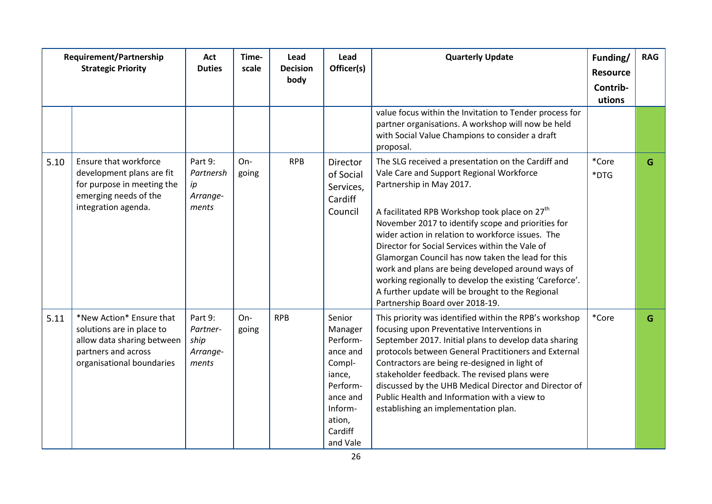|      | <b>Requirement/Partnership</b><br><b>Strategic Priority</b>                                                                             | Act<br><b>Duties</b>                             | Time-<br>scale | Lead<br><b>Decision</b><br>body | Lead<br>Officer(s)                                                                                                                | <b>Quarterly Update</b>                                                                                                                                                                                                                                                                                                                                                                                                                                                                                                                                                                                           | Funding/<br><b>Resource</b><br>Contrib- | <b>RAG</b> |
|------|-----------------------------------------------------------------------------------------------------------------------------------------|--------------------------------------------------|----------------|---------------------------------|-----------------------------------------------------------------------------------------------------------------------------------|-------------------------------------------------------------------------------------------------------------------------------------------------------------------------------------------------------------------------------------------------------------------------------------------------------------------------------------------------------------------------------------------------------------------------------------------------------------------------------------------------------------------------------------------------------------------------------------------------------------------|-----------------------------------------|------------|
|      |                                                                                                                                         |                                                  |                |                                 |                                                                                                                                   | value focus within the Invitation to Tender process for<br>partner organisations. A workshop will now be held<br>with Social Value Champions to consider a draft<br>proposal.                                                                                                                                                                                                                                                                                                                                                                                                                                     | utions                                  |            |
| 5.10 | Ensure that workforce<br>development plans are fit<br>for purpose in meeting the<br>emerging needs of the<br>integration agenda.        | Part 9:<br>Partnersh<br>ip<br>Arrange-<br>ments  | On-<br>going   | <b>RPB</b>                      | Director<br>of Social<br>Services,<br>Cardiff<br>Council                                                                          | The SLG received a presentation on the Cardiff and<br>Vale Care and Support Regional Workforce<br>Partnership in May 2017.<br>A facilitated RPB Workshop took place on 27 <sup>th</sup><br>November 2017 to identify scope and priorities for<br>wider action in relation to workforce issues. The<br>Director for Social Services within the Vale of<br>Glamorgan Council has now taken the lead for this<br>work and plans are being developed around ways of<br>working regionally to develop the existing 'Careforce'.<br>A further update will be brought to the Regional<br>Partnership Board over 2018-19. | *Core<br>*DTG                           | G          |
| 5.11 | *New Action* Ensure that<br>solutions are in place to<br>allow data sharing between<br>partners and across<br>organisational boundaries | Part 9:<br>Partner-<br>ship<br>Arrange-<br>ments | On-<br>going   | <b>RPB</b>                      | Senior<br>Manager<br>Perform-<br>ance and<br>Compl-<br>iance,<br>Perform-<br>ance and<br>Inform-<br>ation,<br>Cardiff<br>and Vale | This priority was identified within the RPB's workshop<br>focusing upon Preventative Interventions in<br>September 2017. Initial plans to develop data sharing<br>protocols between General Practitioners and External<br>Contractors are being re-designed in light of<br>stakeholder feedback. The revised plans were<br>discussed by the UHB Medical Director and Director of<br>Public Health and Information with a view to<br>establishing an implementation plan.                                                                                                                                          | *Core                                   | G          |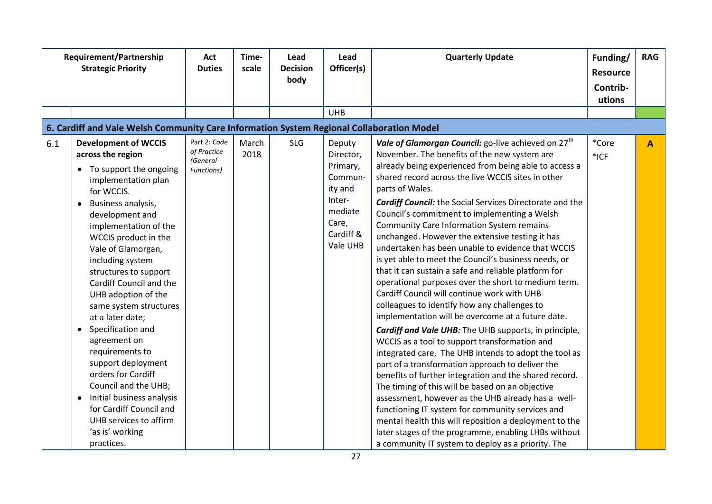|     | Requirement/Partnership<br><b>Strategic Priority</b>                                                                                                                                                                                                                                                                                                                                                                                                                                                                                                                                                                                                      | Act<br><b>Duties</b>                                  | Time-<br>scale | Lead<br><b>Decision</b><br>body | Lead<br>Officer(s)                                                                                           | <b>Quarterly Update</b>                                                                                                                                                                                                                                                                                                                                                                                                                                                                                                                                                                                                                                                                                                                                                                                                                                                                                                                                                                                                                                                                                                                                                                                                                                                                                                                                                                                                                                                                   | Funding/<br><b>Resource</b><br>Contrib-<br>utions | <b>RAG</b> |
|-----|-----------------------------------------------------------------------------------------------------------------------------------------------------------------------------------------------------------------------------------------------------------------------------------------------------------------------------------------------------------------------------------------------------------------------------------------------------------------------------------------------------------------------------------------------------------------------------------------------------------------------------------------------------------|-------------------------------------------------------|----------------|---------------------------------|--------------------------------------------------------------------------------------------------------------|-------------------------------------------------------------------------------------------------------------------------------------------------------------------------------------------------------------------------------------------------------------------------------------------------------------------------------------------------------------------------------------------------------------------------------------------------------------------------------------------------------------------------------------------------------------------------------------------------------------------------------------------------------------------------------------------------------------------------------------------------------------------------------------------------------------------------------------------------------------------------------------------------------------------------------------------------------------------------------------------------------------------------------------------------------------------------------------------------------------------------------------------------------------------------------------------------------------------------------------------------------------------------------------------------------------------------------------------------------------------------------------------------------------------------------------------------------------------------------------------|---------------------------------------------------|------------|
|     |                                                                                                                                                                                                                                                                                                                                                                                                                                                                                                                                                                                                                                                           |                                                       |                |                                 | <b>UHB</b>                                                                                                   |                                                                                                                                                                                                                                                                                                                                                                                                                                                                                                                                                                                                                                                                                                                                                                                                                                                                                                                                                                                                                                                                                                                                                                                                                                                                                                                                                                                                                                                                                           |                                                   |            |
|     | 6. Cardiff and Vale Welsh Community Care Information System Regional Collaboration Model                                                                                                                                                                                                                                                                                                                                                                                                                                                                                                                                                                  |                                                       |                |                                 |                                                                                                              |                                                                                                                                                                                                                                                                                                                                                                                                                                                                                                                                                                                                                                                                                                                                                                                                                                                                                                                                                                                                                                                                                                                                                                                                                                                                                                                                                                                                                                                                                           |                                                   |            |
| 6.1 | <b>Development of WCCIS</b><br>across the region<br>• To support the ongoing<br>implementation plan<br>for WCCIS.<br>Business analysis,<br>$\bullet$<br>development and<br>implementation of the<br>WCCIS product in the<br>Vale of Glamorgan,<br>including system<br>structures to support<br>Cardiff Council and the<br>UHB adoption of the<br>same system structures<br>at a later date;<br>• Specification and<br>agreement on<br>requirements to<br>support deployment<br>orders for Cardiff<br>Council and the UHB;<br>Initial business analysis<br>$\bullet$<br>for Cardiff Council and<br>UHB services to affirm<br>'as is' working<br>practices. | Part 2: Code<br>of Practice<br>(General<br>Functions) | March<br>2018  | <b>SLG</b>                      | Deputy<br>Director,<br>Primary,<br>Commun-<br>ity and<br>Inter-<br>mediate<br>Care,<br>Cardiff &<br>Vale UHB | Vale of Glamorgan Council: go-live achieved on 27 <sup>th</sup><br>November. The benefits of the new system are<br>already being experienced from being able to access a<br>shared record across the live WCCIS sites in other<br>parts of Wales.<br><b>Cardiff Council:</b> the Social Services Directorate and the<br>Council's commitment to implementing a Welsh<br><b>Community Care Information System remains</b><br>unchanged. However the extensive testing it has<br>undertaken has been unable to evidence that WCCIS<br>is yet able to meet the Council's business needs, or<br>that it can sustain a safe and reliable platform for<br>operational purposes over the short to medium term.<br>Cardiff Council will continue work with UHB<br>colleagues to identify how any challenges to<br>implementation will be overcome at a future date.<br><b>Cardiff and Vale UHB:</b> The UHB supports, in principle,<br>WCCIS as a tool to support transformation and<br>integrated care. The UHB intends to adopt the tool as<br>part of a transformation approach to deliver the<br>benefits of further integration and the shared record.<br>The timing of this will be based on an objective<br>assessment, however as the UHB already has a well-<br>functioning IT system for community services and<br>mental health this will reposition a deployment to the<br>later stages of the programme, enabling LHBs without<br>a community IT system to deploy as a priority. The | *Core<br>*ICF                                     | A          |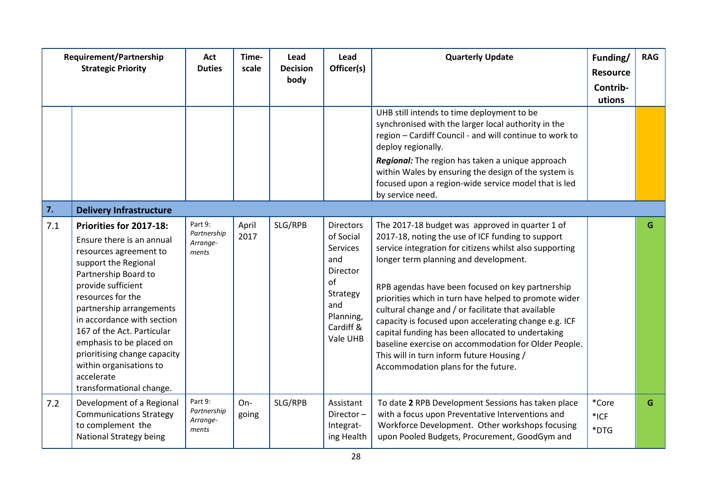| Requirement/Partnership<br><b>Strategic Priority</b> |                                                                                                                                                                                                                                                                                                                                                                                                    | Act<br><b>Duties</b>                        | Time-<br>scale | Lead<br><b>Decision</b><br>body | Lead<br>Officer(s)                                                                                                          | <b>Quarterly Update</b>                                                                                                                                                                                                                                                                                                                                                                                                                                                                                                                                                                                                               | Funding/<br><b>Resource</b><br>Contrib-<br>utions | <b>RAG</b> |
|------------------------------------------------------|----------------------------------------------------------------------------------------------------------------------------------------------------------------------------------------------------------------------------------------------------------------------------------------------------------------------------------------------------------------------------------------------------|---------------------------------------------|----------------|---------------------------------|-----------------------------------------------------------------------------------------------------------------------------|---------------------------------------------------------------------------------------------------------------------------------------------------------------------------------------------------------------------------------------------------------------------------------------------------------------------------------------------------------------------------------------------------------------------------------------------------------------------------------------------------------------------------------------------------------------------------------------------------------------------------------------|---------------------------------------------------|------------|
|                                                      |                                                                                                                                                                                                                                                                                                                                                                                                    |                                             |                |                                 |                                                                                                                             | UHB still intends to time deployment to be<br>synchronised with the larger local authority in the<br>region - Cardiff Council - and will continue to work to<br>deploy regionally.<br>Regional: The region has taken a unique approach<br>within Wales by ensuring the design of the system is<br>focused upon a region-wide service model that is led<br>by service need.                                                                                                                                                                                                                                                            |                                                   |            |
| 7.                                                   | <b>Delivery Infrastructure</b>                                                                                                                                                                                                                                                                                                                                                                     |                                             |                |                                 |                                                                                                                             |                                                                                                                                                                                                                                                                                                                                                                                                                                                                                                                                                                                                                                       |                                                   |            |
| 7.1                                                  | Priorities for 2017-18:<br>Ensure there is an annual<br>resources agreement to<br>support the Regional<br>Partnership Board to<br>provide sufficient<br>resources for the<br>partnership arrangements<br>in accordance with section<br>167 of the Act. Particular<br>emphasis to be placed on<br>prioritising change capacity<br>within organisations to<br>accelerate<br>transformational change. | Part 9:<br>Partnership<br>Arrange-<br>ments | April<br>2017  | SLG/RPB                         | <b>Directors</b><br>of Social<br>Services<br>and<br>Director<br>of<br>Strategy<br>and<br>Planning,<br>Cardiff &<br>Vale UHB | The 2017-18 budget was approved in quarter 1 of<br>2017-18, noting the use of ICF funding to support<br>service integration for citizens whilst also supporting<br>longer term planning and development.<br>RPB agendas have been focused on key partnership<br>priorities which in turn have helped to promote wider<br>cultural change and / or facilitate that available<br>capacity is focused upon accelerating change e.g. ICF<br>capital funding has been allocated to undertaking<br>baseline exercise on accommodation for Older People.<br>This will in turn inform future Housing /<br>Accommodation plans for the future. |                                                   | G.         |
| 7.2                                                  | Development of a Regional<br><b>Communications Strategy</b><br>to complement the<br>National Strategy being                                                                                                                                                                                                                                                                                        | Part 9:<br>Partnership<br>Arrange-<br>ments | On-<br>going   | SLG/RPB                         | Assistant<br>Director-<br>Integrat-<br>ing Health                                                                           | To date 2 RPB Development Sessions has taken place<br>with a focus upon Preventative Interventions and<br>Workforce Development. Other workshops focusing<br>upon Pooled Budgets, Procurement, GoodGym and                                                                                                                                                                                                                                                                                                                                                                                                                            | *Core<br>$*$ ICF<br>*DTG                          | G          |